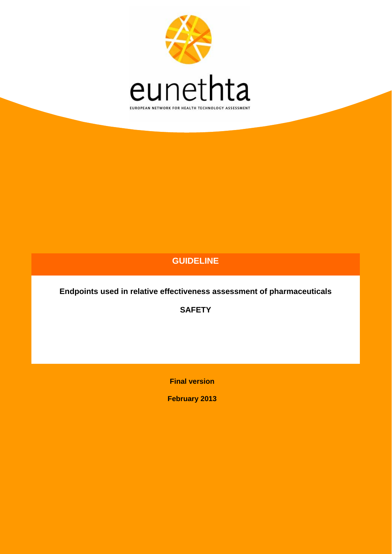

# **GUIDELINE**

**Endpoints used in relative effectiveness assessment of pharmaceuticals** 

**SAFETY** 

**Final version** 

**February 2013**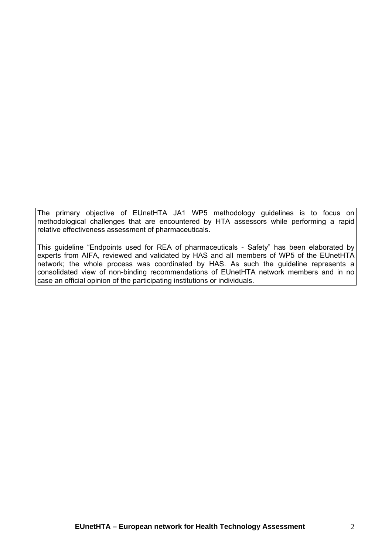The primary objective of EUnetHTA JA1 WP5 methodology guidelines is to focus on methodological challenges that are encountered by HTA assessors while performing a rapid relative effectiveness assessment of pharmaceuticals.

This guideline "Endpoints used for REA of pharmaceuticals - Safety" has been elaborated by experts from AIFA, reviewed and validated by HAS and all members of WP5 of the EUnetHTA network; the whole process was coordinated by HAS. As such the guideline represents a consolidated view of non-binding recommendations of EUnetHTA network members and in no case an official opinion of the participating institutions or individuals.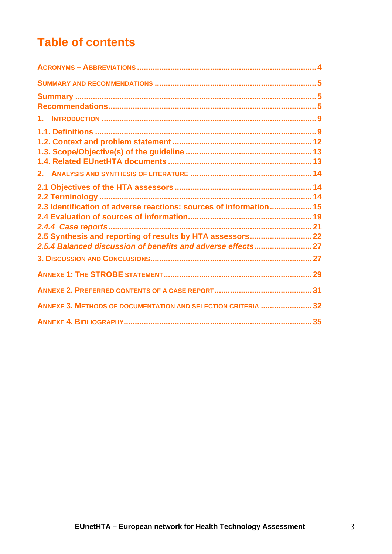# **Table of contents**

| 2.3 Identification of adverse reactions: sources of information 15 |  |
|--------------------------------------------------------------------|--|
|                                                                    |  |
|                                                                    |  |
|                                                                    |  |
|                                                                    |  |
|                                                                    |  |
|                                                                    |  |
|                                                                    |  |
| ANNEXE 3. METHODS OF DOCUMENTATION AND SELECTION CRITERIA  32      |  |
|                                                                    |  |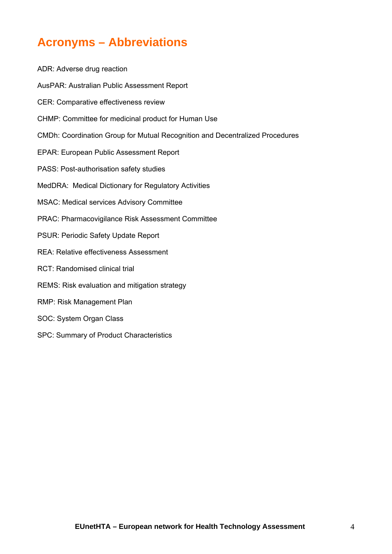# <span id="page-3-0"></span>**Acronyms – Abbreviations**

ADR: Adverse drug reaction AusPAR: Australian Public Assessment Report CER: Comparative effectiveness review CHMP: Committee for medicinal product for Human Use CMDh: Coordination Group for Mutual Recognition and Decentralized Procedures EPAR: European Public Assessment Report PASS: Post-authorisation safety studies MedDRA: Medical Dictionary for Regulatory Activities MSAC: Medical services Advisory Committee PRAC: Pharmacovigilance Risk Assessment Committee PSUR: Periodic Safety Update Report REA: Relative effectiveness Assessment RCT: Randomised clinical trial REMS: Risk evaluation and mitigation strategy RMP: Risk Management Plan SOC: System Organ Class

SPC: Summary of Product Characteristics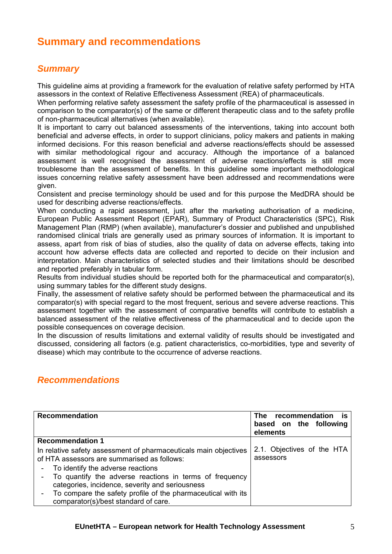# <span id="page-4-0"></span>**Summary and recommendations**

# <span id="page-4-1"></span>*Summary*

This guideline aims at providing a framework for the evaluation of relative safety performed by HTA assessors in the context of Relative Effectiveness Assessment (REA) of pharmaceuticals.

When performing relative safety assessment the safety profile of the pharmaceutical is assessed in comparison to the comparator(s) of the same or different therapeutic class and to the safety profile of non-pharmaceutical alternatives (when available).

It is important to carry out balanced assessments of the interventions, taking into account both beneficial and adverse effects, in order to support clinicians, policy makers and patients in making informed decisions. For this reason beneficial and adverse reactions/effects should be assessed with similar methodological rigour and accuracy. Although the importance of a balanced assessment is well recognised the assessment of adverse reactions/effects is still more troublesome than the assessment of benefits. In this guideline some important methodological issues concerning relative safety assessment have been addressed and recommendations were given.

Consistent and precise terminology should be used and for this purpose the MedDRA should be used for describing adverse reactions/effects.

When conducting a rapid assessment, just after the marketing authorisation of a medicine, European Public Assessment Report (EPAR), Summary of Product Characteristics (SPC), Risk Management Plan (RMP) (when available), manufacturer's dossier and published and unpublished randomised clinical trials are generally used as primary sources of information. It is important to assess, apart from risk of bias of studies, also the quality of data on adverse effects, taking into account how adverse effects data are collected and reported to decide on their inclusion and interpretation. Main characteristics of selected studies and their limitations should be described and reported preferably in tabular form.

Results from individual studies should be reported both for the pharmaceutical and comparator(s), using summary tables for the different study designs.

Finally, the assessment of relative safety should be performed between the pharmaceutical and its comparator(s) with special regard to the most frequent, serious and severe adverse reactions. This assessment together with the assessment of comparative benefits will contribute to establish a balanced assessment of the relative effectiveness of the pharmaceutical and to decide upon the possible consequences on coverage decision.

In the discussion of results limitations and external validity of results should be investigated and discussed, considering all factors (e.g. patient characteristics, co-morbidities, type and severity of disease) which may contribute to the occurrence of adverse reactions.

# <span id="page-4-2"></span>*Recommendations*

| <b>Recommendation</b>                                            | The recommendation<br>ĪS.<br>based on the following<br>elements |
|------------------------------------------------------------------|-----------------------------------------------------------------|
| <b>Recommendation 1</b>                                          |                                                                 |
| In relative safety assessment of pharmaceuticals main objectives | 2.1. Objectives of the HTA                                      |
| of HTA assessors are summarised as follows:                      | assessors                                                       |
| To identify the adverse reactions                                |                                                                 |
| To quantify the adverse reactions in terms of frequency          |                                                                 |
| categories, incidence, severity and seriousness                  |                                                                 |
| To compare the safety profile of the pharmaceutical with its     |                                                                 |
| comparator(s)/best standard of care.                             |                                                                 |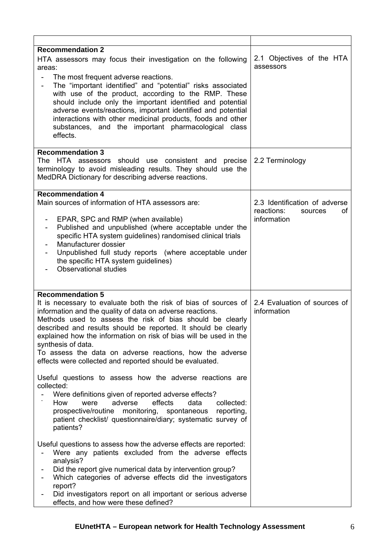| <b>Recommendation 2</b><br>HTA assessors may focus their investigation on the following<br>areas:<br>The most frequent adverse reactions.<br>The "important identified" and "potential" risks associated<br>$\overline{\phantom{a}}$<br>with use of the product, according to the RMP. These<br>should include only the important identified and potential<br>adverse events/reactions, important identified and potential<br>interactions with other medicinal products, foods and other<br>substances, and the important pharmacological class<br>effects.                                                                               | 2.1 Objectives of the HTA<br>assessors                                      |
|--------------------------------------------------------------------------------------------------------------------------------------------------------------------------------------------------------------------------------------------------------------------------------------------------------------------------------------------------------------------------------------------------------------------------------------------------------------------------------------------------------------------------------------------------------------------------------------------------------------------------------------------|-----------------------------------------------------------------------------|
| <b>Recommendation 3</b><br>The HTA assessors should use consistent and<br>precise<br>terminology to avoid misleading results. They should use the<br>MedDRA Dictionary for describing adverse reactions.                                                                                                                                                                                                                                                                                                                                                                                                                                   | 2.2 Terminology                                                             |
| <b>Recommendation 4</b><br>Main sources of information of HTA assessors are:<br>EPAR, SPC and RMP (when available)<br>$\overline{\phantom{a}}$<br>Published and unpublished (where acceptable under the<br>specific HTA system guidelines) randomised clinical trials<br>Manufacturer dossier<br>Unpublished full study reports (where acceptable under<br>the specific HTA system guidelines)<br><b>Observational studies</b>                                                                                                                                                                                                             | 2.3 Identification of adverse<br>reactions:<br>οf<br>sources<br>information |
| <b>Recommendation 5</b><br>It is necessary to evaluate both the risk of bias of sources of<br>information and the quality of data on adverse reactions.<br>Methods used to assess the risk of bias should be clearly<br>described and results should be reported. It should be clearly<br>explained how the information on risk of bias will be used in the<br>synthesis of data.<br>To assess the data on adverse reactions, how the adverse<br>effects were collected and reported should be evaluated.<br>Useful questions to assess how the adverse reactions are<br>collected:<br>Were definitions given of reported adverse effects? | 2.4 Evaluation of sources of<br>information                                 |
| effects<br>How<br>adverse<br>data<br>were<br>collected:<br>prospective/routine<br>monitoring,<br>spontaneous<br>reporting,<br>patient checklist/ questionnaire/diary; systematic survey of<br>patients?<br>Useful questions to assess how the adverse effects are reported:<br>Were any patients excluded from the adverse effects<br>analysis?<br>Did the report give numerical data by intervention group?<br>Which categories of adverse effects did the investigators<br>report?<br>Did investigators report on all important or serious adverse<br>effects, and how were these defined?                                               |                                                                             |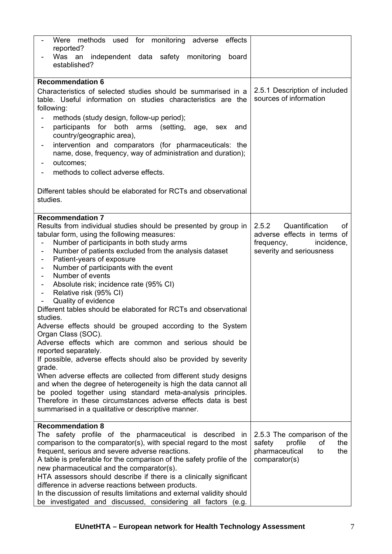| Were methods used for monitoring adverse<br>effects<br>reported?                                                  |                                |
|-------------------------------------------------------------------------------------------------------------------|--------------------------------|
| Was an<br>independent data safety monitoring<br>board<br>established?                                             |                                |
| <b>Recommendation 6</b>                                                                                           |                                |
| Characteristics of selected studies should be summarised in a                                                     | 2.5.1 Description of included  |
| table. Useful information on studies characteristics are the                                                      | sources of information         |
| following:                                                                                                        |                                |
| methods (study design, follow-up period);                                                                         |                                |
| participants for both arms (setting,<br>age, sex and<br>$\qquad \qquad \blacksquare$<br>country/geographic area), |                                |
| intervention and comparators (for pharmaceuticals: the<br>$\overline{\phantom{a}}$                                |                                |
| name, dose, frequency, way of administration and duration);                                                       |                                |
| outcomes;                                                                                                         |                                |
| methods to collect adverse effects.                                                                               |                                |
|                                                                                                                   |                                |
| Different tables should be elaborated for RCTs and observational<br>studies.                                      |                                |
|                                                                                                                   |                                |
| <b>Recommendation 7</b>                                                                                           |                                |
| Results from individual studies should be presented by group in                                                   | Quantification<br>2.5.2<br>οf  |
| tabular form, using the following measures:                                                                       | adverse effects in terms of    |
| Number of participants in both study arms                                                                         | frequency,<br>incidence,       |
| Number of patients excluded from the analysis dataset                                                             | severity and seriousness       |
| Patient-years of exposure<br>$\overline{\phantom{0}}$                                                             |                                |
| Number of participants with the event<br>$\overline{\phantom{0}}$                                                 |                                |
| Number of events<br>$\overline{\phantom{a}}$                                                                      |                                |
| Absolute risk; incidence rate (95% CI)<br>$\overline{\phantom{a}}$                                                |                                |
| Relative risk (95% CI)<br>$\overline{\phantom{0}}$                                                                |                                |
| Quality of evidence                                                                                               |                                |
| Different tables should be elaborated for RCTs and observational                                                  |                                |
| studies.                                                                                                          |                                |
| Adverse effects should be grouped according to the System                                                         |                                |
| Organ Class (SOC).                                                                                                |                                |
| Adverse effects which are common and serious should be                                                            |                                |
| reported separately.<br>If possible, adverse effects should also be provided by severity                          |                                |
| grade.                                                                                                            |                                |
| When adverse effects are collected from different study designs                                                   |                                |
| and when the degree of heterogeneity is high the data cannot all                                                  |                                |
| be pooled together using standard meta-analysis principles.                                                       |                                |
| Therefore in these circumstances adverse effects data is best                                                     |                                |
| summarised in a qualitative or descriptive manner.                                                                |                                |
|                                                                                                                   |                                |
| <b>Recommendation 8</b>                                                                                           |                                |
| The safety profile of the pharmaceutical is described<br>in.                                                      | 2.5.3 The comparison of the    |
| comparison to the comparator(s), with special regard to the most                                                  | safety<br>profile<br>οf<br>the |
| frequent, serious and severe adverse reactions.                                                                   | pharmaceutical<br>the<br>to    |
| A table is preferable for the comparison of the safety profile of the                                             | comparator(s)                  |
| new pharmaceutical and the comparator(s).                                                                         |                                |
| HTA assessors should describe if there is a clinically significant                                                |                                |
| difference in adverse reactions between products.                                                                 |                                |
| In the discussion of results limitations and external validity should                                             |                                |
| be investigated and discussed, considering all factors (e.g.                                                      |                                |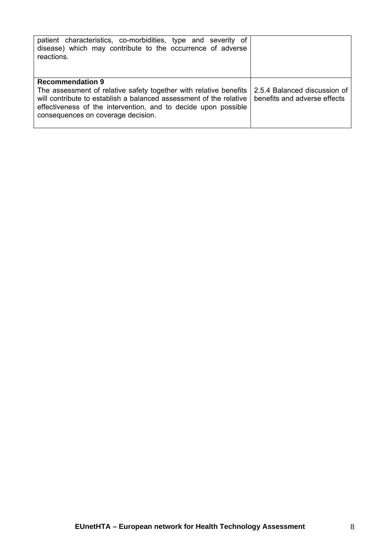| patient characteristics, co-morbidities, type and severity of<br>disease) which may contribute to the occurrence of adverse<br>reactions.                                                                                                                                  |                                                              |
|----------------------------------------------------------------------------------------------------------------------------------------------------------------------------------------------------------------------------------------------------------------------------|--------------------------------------------------------------|
| <b>Recommendation 9</b><br>The assessment of relative safety together with relative benefits<br>will contribute to establish a balanced assessment of the relative<br>effectiveness of the intervention, and to decide upon possible<br>consequences on coverage decision. | 2.5.4 Balanced discussion of<br>benefits and adverse effects |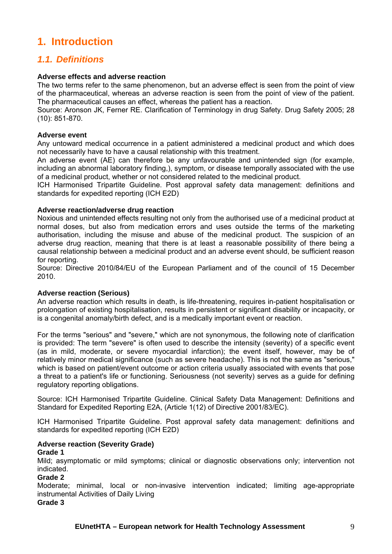# <span id="page-8-0"></span>**1. Introduction**

# <span id="page-8-1"></span>*1.1. Definitions*

# **Adverse effects and adverse reaction**

The two terms refer to the same phenomenon, but an adverse effect is seen from the point of view of the pharmaceutical, whereas an adverse reaction is seen from the point of view of the patient. The pharmaceutical causes an effect, whereas the patient has a reaction.

Source: Aronson JK, Ferner RE. Clarification of Terminology in drug Safety. Drug Safety 2005; 28 (10): 851-870.

## **Adverse event**

Any untoward medical occurrence in a patient administered a medicinal product and which does not necessarily have to have a causal relationship with this treatment.

An adverse event (AE) can therefore be any unfavourable and unintended sign (for example, including an abnormal laboratory finding,), symptom, or disease temporally associated with the use of a medicinal product, whether or not considered related to the medicinal product.

ICH Harmonised Tripartite Guideline. Post approval safety data management: definitions and standards for expedited reporting (ICH E2D)

#### **Adverse reaction/adverse drug reaction**

Noxious and unintended effects resulting not only from the authorised use of a medicinal product at normal doses, but also from medication errors and uses outside the terms of the marketing authorisation, including the misuse and abuse of the medicinal product. The suspicion of an adverse drug reaction, meaning that there is at least a reasonable possibility of there being a causal relationship between a medicinal product and an adverse event should, be sufficient reason for reporting.

Source: Directive 2010/84/EU of the European Parliament and of the council of 15 December 2010.

## **Adverse reaction (Serious)**

An adverse reaction which results in death, is life-threatening, requires in-patient hospitalisation or prolongation of existing hospitalisation, results in persistent or significant disability or incapacity, or is a congenital anomaly/birth defect, and is a medically important event or reaction.

For the terms "serious" and "severe," which are not synonymous, the following note of clarification is provided: The term "severe" is often used to describe the intensity (severity) of a specific event (as in mild, moderate, or severe myocardial infarction); the event itself, however, may be of relatively minor medical significance (such as severe headache). This is not the same as "serious." which is based on patient/event outcome or action criteria usually associated with events that pose a threat to a patient's life or functioning. Seriousness (not severity) serves as a guide for defining regulatory reporting obligations.

Source: ICH Harmonised Tripartite Guideline. Clinical Safety Data Management: Definitions and Standard for Expedited Reporting E2A, (Article 1(12) of Directive 2001/83/EC).

ICH Harmonised Tripartite Guideline. Post approval safety data management: definitions and standards for expedited reporting (ICH E2D)

#### **Adverse reaction (Severity Grade)**

#### **Grade 1**

Mild; asymptomatic or mild symptoms; clinical or diagnostic observations only; intervention not indicated.

## **Grade 2**

Moderate; minimal, local or non-invasive intervention indicated; limiting age-appropriate instrumental Activities of Daily Living

**Grade 3**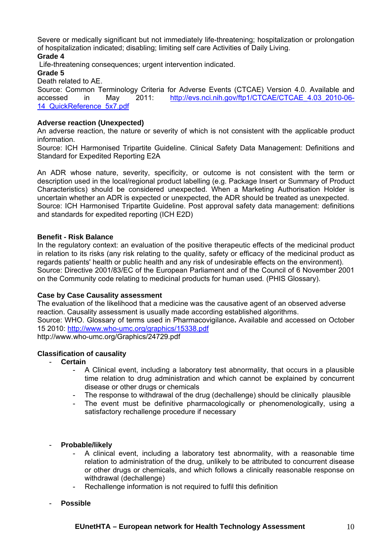Severe or medically significant but not immediately life-threatening; hospitalization or prolongation of hospitalization indicated; disabling; limiting self care Activities of Daily Living.

**Grade 4** 

Life-threatening consequences; urgent intervention indicated.

#### **Grade 5**

Death related to AE.

Source: Common Terminology Criteria for Adverse Events (CTCAE) Version 4.0. Available and accessed in May 2011: [http://evs.nci.nih.gov/ftp1/CTCAE/CTCAE\\_4.03\\_2010-06-](http://evs.nci.nih.gov/ftp1/CTCAE/CTCAE_4.03_2010-06-14_QuickReference_5x7.pdf) 14 QuickReference 5x7.pdf

## **Adverse reaction (Unexpected)**

An adverse reaction, the nature or severity of which is not consistent with the applicable product information.

Source: ICH Harmonised Tripartite Guideline. Clinical Safety Data Management: Definitions and Standard for Expedited Reporting E2A

An ADR whose nature, severity, specificity, or outcome is not consistent with the term or description used in the local/regional product labelling (e.g. Package Insert or Summary of Product Characteristics) should be considered unexpected. When a Marketing Authorisation Holder is uncertain whether an ADR is expected or unexpected, the ADR should be treated as unexpected. Source: ICH Harmonised Tripartite Guideline. Post approval safety data management: definitions and standards for expedited reporting (ICH E2D)

## **Benefit - Risk Balance**

In the regulatory context: an evaluation of the positive therapeutic effects of the medicinal product in relation to its risks (any risk relating to the quality, safety or efficacy of the medicinal product as regards patients' health or public health and any risk of undesirable effects on the environment). Source: Directive 2001/83/EC of the European Parliament and of the Council of 6 November 2001 on the Community code relating to medicinal products for human used*.* (PHIS Glossary).

## **Case by Case Causality assessment**

The evaluation of the likelihood that a medicine was the causative agent of an observed adverse reaction. Causality assessment is usually made according established algorithms. Source: WHO. Glossary of terms used in Pharmacovigilance**.** Available and accessed on October

15 2010: <http://www.who-umc.org/graphics/15338.pdf>

http://www.who-umc.org/Graphics/24729.pdf

## **Classification of causality**

- **Certain** 
	- A Clinical event, including a laboratory test abnormality, that occurs in a plausible time relation to drug administration and which cannot be explained by concurrent disease or other drugs or chemicals
	- The response to withdrawal of the drug (dechallenge) should be clinically plausible
	- The event must be definitive pharmacologically or phenomenologically, using a satisfactory rechallenge procedure if necessary
- **Probable/likely** 
	- A clinical event, including a laboratory test abnormality, with a reasonable time relation to administration of the drug, unlikely to be attributed to concurrent disease or other drugs or chemicals, and which follows a clinically reasonable response on withdrawal (dechallenge)
	- Rechallenge information is not required to fulfil this definition
- **Possible**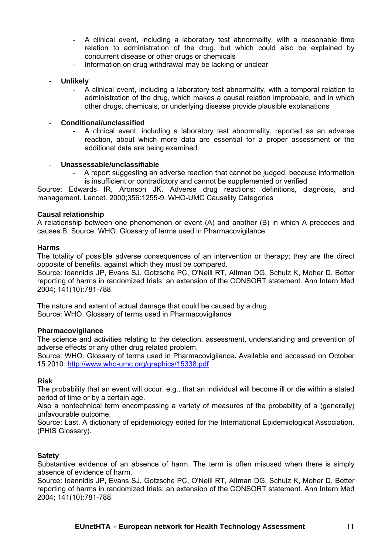- A clinical event, including a laboratory test abnormality, with a reasonable time relation to administration of the drug, but which could also be explained by concurrent disease or other drugs or chemicals
- Information on drug withdrawal may be lacking or unclear
- **Unlikely** 
	- A clinical event, including a laboratory test abnormality, with a temporal relation to administration of the drug, which makes a causal relation improbable, and in which other drugs, chemicals, or underlying disease provide plausible explanations

### - **Conditional/unclassified**

- A clinical event, including a laboratory test abnormality, reported as an adverse reaction, about which more data are essential for a proper assessment or the additional data are being examined

#### - **Unassessable/unclassifiable**

- A report suggesting an adverse reaction that cannot be judged, because information is insufficient or contradictory and cannot be supplemented or verified

Source: Edwards IR, Aronson JK. Adverse drug reactions: definitions, diagnosis, and management. Lancet. 2000;356:1255-9. WHO-UMC Causality Categories

#### **Causal relationship**

A relationship between one phenomenon or event (A) and another (B) in which A precedes and causes B. Source: WHO. Glossary of terms used in Pharmacovigilance

#### **Harms**

The totality of possible adverse consequences of an intervention or therapy; they are the direct opposite of benefits, against which they must be compared.

Source: Ioannidis JP, Evans SJ, Gotzsche PC, O'Neill RT, Altman DG, Schulz K, Moher D. Better reporting of harms in randomized trials: an extension of the CONSORT statement. Ann Intern Med 2004; 141(10):781-788.

The nature and extent of actual damage that could be caused by a drug. Source: WHO. Glossary of terms used in Pharmacovigilance

#### **Pharmacovigilance**

The science and activities relating to the detection, assessment, understanding and prevention of adverse effects or any other drug related problem.

Source: WHO. Glossary of terms used in Pharmacovigilance**.** Available and accessed on October 15 2010: <http://www.who-umc.org/graphics/15338.pdf>

#### **Risk**

The probability that an event will occur, e.g., that an individual will become ill or die within a stated period of time or by a certain age.

Also a nontechnical term encompassing a variety of measures of the probability of a (generally) unfavourable outcome.

Source: Last. A dictionary of epidemiology edited for the International Epidemiological Association. (PHIS Glossary).

#### **Safety**

Substantive evidence of an absence of harm. The term is often misused when there is simply absence of evidence of harm.

Source: Ioannidis JP, Evans SJ, Gotzsche PC, O'Neill RT, Altman DG, Schulz K, Moher D. Better reporting of harms in randomized trials: an extension of the CONSORT statement. Ann Intern Med 2004; 141(10):781-788.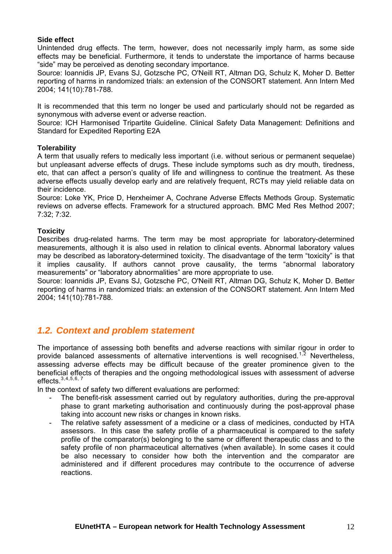## **Side effect**

Unintended drug effects. The term, however, does not necessarily imply harm, as some side effects may be beneficial. Furthermore, it tends to understate the importance of harms because "side" may be perceived as denoting secondary importance.

Source: Ioannidis JP, Evans SJ, Gotzsche PC, O'Neill RT, Altman DG, Schulz K, Moher D. Better reporting of harms in randomized trials: an extension of the CONSORT statement. Ann Intern Med 2004; 141(10):781-788.

It is recommended that this term no longer be used and particularly should not be regarded as synonymous with adverse event or adverse reaction.

Source: ICH Harmonised Tripartite Guideline. Clinical Safety Data Management: Definitions and Standard for Expedited Reporting E2A

#### **Tolerability**

A term that usually refers to medically less important (i.e. without serious or permanent sequelae) but unpleasant adverse effects of drugs. These include symptoms such as dry mouth, tiredness, etc, that can affect a person's quality of life and willingness to continue the treatment. As these adverse effects usually develop early and are relatively frequent, RCTs may yield reliable data on their incidence.

Source: Loke YK, Price D, Herxheimer A, Cochrane Adverse Effects Methods Group. Systematic reviews on adverse effects. Framework for a structured approach. BMC Med Res Method 2007; 7:32; 7:32.

#### **Toxicity**

Describes drug-related harms. The term may be most appropriate for laboratory-determined measurements, although it is also used in relation to clinical events. Abnormal laboratory values may be described as laboratory-determined toxicity. The disadvantage of the term "toxicity" is that it implies causality. If authors cannot prove causality, the terms "abnormal laboratory measurements" or "laboratory abnormalities" are more appropriate to use.

Source: Ioannidis JP, Evans SJ, Gotzsche PC, O'Neill RT, Altman DG, Schulz K, Moher D. Better reporting of harms in randomized trials: an extension of the CONSORT statement. Ann Intern Med 2004; 141(10):781-788.

# <span id="page-11-0"></span>*1.2. Context and problem statement*

The importance of assessing both benefits and adverse reactions with similar rigour in order to provide balanced assessments of alternative interventions is well recognised.<sup>[1](#page-34-1),[2](#page-34-2)</sup> Nevertheless, assessing adverse effects may be difficult because of the greater prominence given to the beneficial effects of therapies and the ongoing methodological issues with assessment of adverse effects.  $3,4,5,6,7$  $3,4,5,6,7$  $3,4,5,6,7$  $3,4,5,6,7$  $3,4,5,6,7$  $3,4,5,6,7$  $3,4,5,6,7$  $3,4,5,6,7$  $3,4,5,6,7$ 

In the context of safety two different evaluations are performed:

- The benefit-risk assessment carried out by regulatory authorities, during the pre-approval phase to grant marketing authorisation and continuously during the post-approval phase taking into account new risks or changes in known risks.
- The relative safety assessment of a medicine or a class of medicines, conducted by HTA assessors. In this case the safety profile of a pharmaceutical is compared to the safety profile of the comparator(s) belonging to the same or different therapeutic class and to the safety profile of non pharmaceutical alternatives (when available). In some cases it could be also necessary to consider how both the intervention and the comparator are administered and if different procedures may contribute to the occurrence of adverse reactions.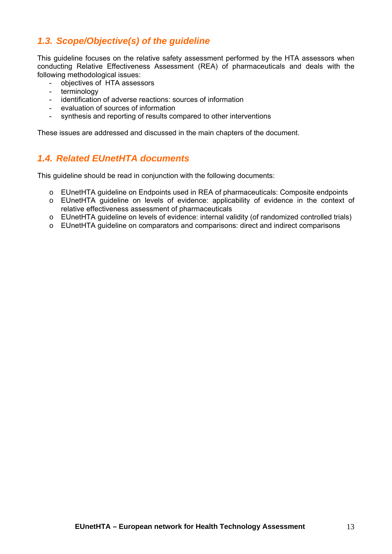# <span id="page-12-0"></span>*1.3. Scope/Objective(s) of the guideline*

This guideline focuses on the relative safety assessment performed by the HTA assessors when conducting Relative Effectiveness Assessment (REA) of pharmaceuticals and deals with the following methodological issues:

- objectives of HTA assessors<br>- terminology
- terminology<br>- identification
- identification of adverse reactions: sources of information
- evaluation of sources of information
- synthesis and reporting of results compared to other interventions

These issues are addressed and discussed in the main chapters of the document.

# <span id="page-12-1"></span>*1.4. Related EUnetHTA documents*

This guideline should be read in conjunction with the following documents:

- o EUnetHTA guideline on Endpoints used in REA of pharmaceuticals: Composite endpoints
- o EUnetHTA guideline on levels of evidence: applicability of evidence in the context of relative effectiveness assessment of pharmaceuticals
- o EUnetHTA guideline on levels of evidence: internal validity (of randomized controlled trials)
- o EUnetHTA guideline on comparators and comparisons: direct and indirect comparisons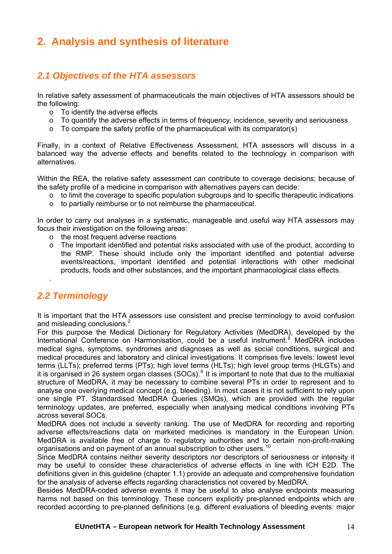# <span id="page-13-0"></span>**2. Analysis and synthesis of literature**

# <span id="page-13-1"></span>*2.1 Objectives of the HTA assessors*

In relative safety assessment of pharmaceuticals the main objectives of HTA assessors should be the following:

- o To identify the adverse effects
- o To quantify the adverse effects in terms of frequency, incidence, severity and seriousness
- o To compare the safety profile of the pharmaceutical with its comparator(s)

Finally, in a context of Relative Effectiveness Assessment, HTA assessors will discuss in a balanced way the adverse effects and benefits related to the technology in comparison with alternatives.

Within the REA, the relative safety assessment can contribute to coverage decisions; because of the safety profile of a medicine in comparison with alternatives payers can decide:

- $\circ$  to limit the coverage to specific population subgroups and to specific therapeutic indications
- o to partially reimburse or to not reimburse the pharmaceutical.

In order to carry out analyses in a systematic, manageable and useful way HTA assessors may focus their investigation on the following areas:

- o the most frequent adverse reactions
- $\circ$  The important identified and potential risks associated with use of the product, according to the RMP. These should include only the important identified and potential adverse events/reactions, important identified and potential interactions with other medicinal products, foods and other substances, and the important pharmacological class effects.

# <span id="page-13-2"></span>*2.2 Terminology*

.

It is important that the HTA assessors use consistent and precise terminology to avoid confusion and misleading conclusions.<sup>2</sup>

For this purpose the Medical Dictionary for Regulatory Activities (MedDRA), developed by the International Conference on Harmonisation, could be a useful instrument.<sup>[8](#page-34-8)</sup> MedDRA includes medical signs, symptoms, syndromes and diagnoses as well as social conditions, surgical and medical procedures and laboratory and clinical investigations. It comprises five levels: lowest level terms (LLTs); preferred terms (PTs); high level terms (HLTs); high level group terms (HLGTs) and it is organised in 26 system organ classes (SOCs).<sup>[9](#page-34-9)</sup> It is important to note that due to the multiaxial structure of MedDRA, it may be necessary to combine several PTs in order to represent and to analyse one overlying medical concept (e.g. bleeding). In most cases it is not sufficient to rely upon one single PT. Standardised MedDRA Queries (SMQs), which are provided with the regular terminology updates, are preferred, especially when analysing medical conditions involving PTs across several SOCs.

MedDRA does not include a severity ranking. The use of MedDRA for recording and reporting adverse effects/reactions data on marketed medicines is mandatory in the European Union. MedDRA is available free of charge to regulatory authorities and to certain non-profit-making organisations and on payment of an annual subscription to other users.<sup>[10](#page-34-10)</sup>

Since MedDRA contains neither severity descriptors nor descriptors of seriousness or intensity it may be useful to consider these characteristics of adverse effects in line with ICH E2D. The definitions given in this guideline (chapter 1.1) provide an adequate and comprehensive foundation for the analysis of adverse effects regarding characteristics not covered by MedDRA.

Besides MedDRA-coded adverse events it may be useful to also analyse endpoints measuring harms not based on this terminology. These concern explicitly pre-planned endpoints which are recorded according to pre-planned definitions (e.g. different evaluations of bleeding events: major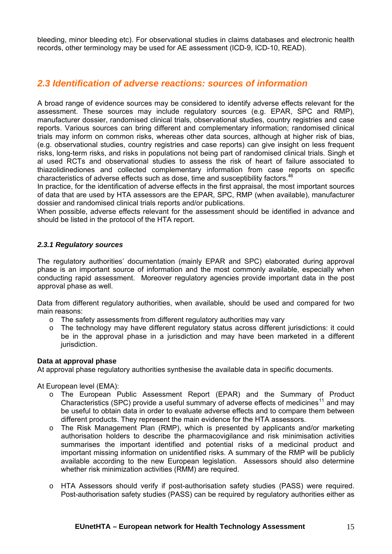bleeding, minor bleeding etc). For observational studies in claims databases and electronic health records, other terminology may be used for AE assessment (ICD-9, ICD-10, READ).

# <span id="page-14-0"></span>*2.3 Identification of adverse reactions: sources of information*

A broad range of evidence sources may be considered to identify adverse effects relevant for the assessment. These sources may include regulatory sources (e.g. EPAR, SPC and RMP), manufacturer dossier, randomised clinical trials, observational studies, country registries and case reports. Various sources can bring different and complementary information; randomised clinical trials may inform on common risks, whereas other data sources, although at higher risk of bias, (e.g. observational studies, country registries and case reports) can give insight on less frequent risks, long-term risks, and risks in populations not being part of randomised clinical trials. Singh et al used RCTs and observational studies to assess the risk of heart of failure associated to thiazolidinediones and collected complementary information from case reports on specific characteristics of adverse effects such as dose, time and susceptibility factors.<sup>46</sup>

In practice, for the identification of adverse effects in the first appraisal, the most important sources of data that are used by HTA assessors are the EPAR, SPC, RMP (when available), manufacturer dossier and randomised clinical trials reports and/or publications.

When possible, adverse effects relevant for the assessment should be identified in advance and should be listed in the protocol of the HTA report.

## *2.3.1 Regulatory sources*

The regulatory authorities' documentation (mainly EPAR and SPC) elaborated during approval phase is an important source of information and the most commonly available, especially when conducting rapid assessment. Moreover regulatory agencies provide important data in the post approval phase as well.

Data from different regulatory authorities, when available, should be used and compared for two main reasons:

- o The safety assessments from different regulatory authorities may vary
- o The technology may have different regulatory status across different jurisdictions: it could be in the approval phase in a jurisdiction and may have been marketed in a different jurisdiction.

## **Data at approval phase**

At approval phase regulatory authorities synthesise the available data in specific documents.

At European level (EMA):

- o The European Public Assessment Report (EPAR) and the Summary of Product Characteristics (SPC) provide a useful summary of adverse effects of medicines<sup>[11](#page-34-11)</sup> and may be useful to obtain data in order to evaluate adverse effects and to compare them between different products. They represent the main evidence for the HTA assessors.
- o The Risk Management Plan (RMP), which is presented by applicants and/or marketing authorisation holders to describe the pharmacovigilance and risk minimisation activities summarises the important identified and potential risks of a medicinal product and important missing information on unidentified risks. A summary of the RMP will be publicly available according to the new European legislation. Assessors should also determine whether risk minimization activities (RMM) are required.
- o HTA Assessors should verify if post-authorisation safety studies (PASS) were required. Post-authorisation safety studies (PASS) can be required by regulatory authorities either as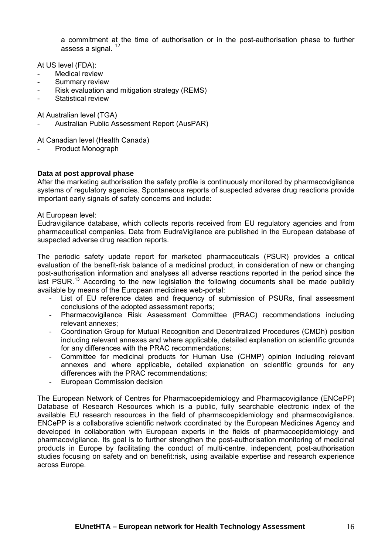a commitment at the time of authorisation or in the post-authorisation phase to further assess a signal.  $12$ 

At US level (FDA):

- Medical review
- Summary review
- Risk evaluation and mitigation strategy (REMS)
- Statistical review

At Australian level (TGA)

- Australian Public Assessment Report (AusPAR)

At Canadian level (Health Canada)

Product Monograph

#### **Data at post approval phase**

After the marketing authorisation the safety profile is continuously monitored by pharmacovigilance systems of regulatory agencies. Spontaneous reports of suspected adverse drug reactions provide important early signals of safety concerns and include:

#### At European level:

Eudravigilance database, which collects reports received from EU regulatory agencies and from pharmaceutical companies. Data from EudraVigilance are published in the European database of suspected adverse drug reaction reports.

The periodic safety update report for marketed pharmaceuticals (PSUR) provides a critical evaluation of the benefit-risk balance of a medicinal product, in consideration of new or changing post-authorisation information and analyses all adverse reactions reported in the period since the last PSUR.<sup>[13](#page-34-12)</sup> According to the new legislation the following documents shall be made publicly available by means of the European medicines web-portal:

- List of EU reference dates and frequency of submission of PSURs, final assessment conclusions of the adopted assessment reports;
- Pharmacovigilance Risk Assessment Committee (PRAC) recommendations including relevant annexes;
- Coordination Group for Mutual Recognition and Decentralized Procedures (CMDh) position including relevant annexes and where applicable, detailed explanation on scientific grounds for any differences with the PRAC recommendations;
- Committee for medicinal products for Human Use (CHMP) opinion including relevant annexes and where applicable, detailed explanation on scientific grounds for any differences with the PRAC recommendations;
- European Commission decision

The European Network of Centres for Pharmacoepidemiology and Pharmacovigilance ([ENCePP\)](http://www.encepp.eu/encepp/resourcesDatabase.jsp)  [Database of Research Resources](http://www.encepp.eu/encepp/resourcesDatabase.jsp) which is a public, fully searchable electronic index of the available EU research resources in the field of pharmacoepidemiology and pharmacovigilance. ENCePP is a collaborative scientific network coordinated by the European Medicines Agency and developed in collaboration with European experts in the fields of pharmacoepidemiology and pharmacovigilance. Its goal is to further strengthen the post-authorisation monitoring of medicinal products in Europe by facilitating the conduct of multi-centre, independent, post-authorisation studies focusing on safety and on benefit:risk, using available expertise and research experience across Europe.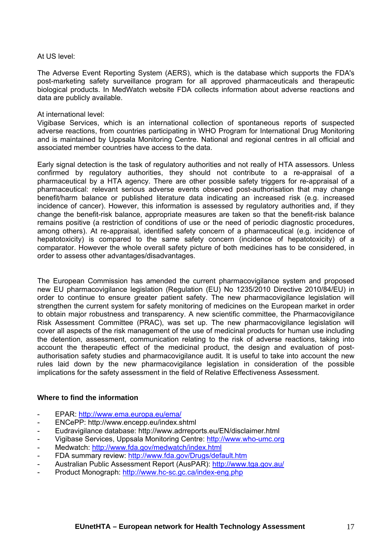At US level:

The Adverse Event Reporting System (AERS), which is the database which supports the FDA's post-marketing safety surveillance program for all approved pharmaceuticals and therapeutic biological products. In MedWatch website FDA collects information about adverse reactions and data are publicly available.

#### At international level:

Vigibase Services, which is an international collection of spontaneous reports of suspected adverse reactions, from countries participating in WHO Program for International Drug Monitoring and is maintained by Uppsala Monitoring Centre. National and regional centres in all official and associated member countries have access to the data.

Early signal detection is the task of regulatory authorities and not really of HTA assessors. Unless confirmed by regulatory authorities, they should not contribute to a re-appraisal of a pharmaceutical by a HTA agency. There are other possible safety triggers for re-appraisal of a pharmaceutical: relevant serious adverse events observed post-authorisation that may change benefit/harm balance or published literature data indicating an increased risk (e.g. increased incidence of cancer). However, this information is assessed by regulatory authorities and, if they change the benefit-risk balance, appropriate measures are taken so that the benefit-risk balance remains positive (a restriction of conditions of use or the need of periodic diagnostic procedures, among others). At re-appraisal, identified safety concern of a pharmaceutical (e.g. incidence of hepatotoxicity) is compared to the same safety concern (incidence of hepatotoxicity) of a comparator. However the whole overall safety picture of both medicines has to be considered, in order to assess other advantages/disadvantages.

The European Commission has amended the current pharmacovigilance system and proposed new EU pharmacovigilance legislation ([Regulation \(EU\) No 1235/2010](http://eur-lex.europa.eu/LexUriServ/LexUriServ.do?uri=OJ:L:2010:348:0001:0016:EN:PDF) [Directive 2010/84/EU\)](http://eur-lex.europa.eu/LexUriServ/LexUriServ.do?uri=OJ:L:2010:348:0074:0099:EN:PDF) in order to continue to ensure greater patient safety. The new pharmacovigilance legislation will strengthen the current system for safety monitoring of medicines on the European market in order to obtain major robustness and transparency. A new scientific committee, the Pharmacovigilance Risk Assessment Committee (PRAC), was set up. The new pharmacovigilance legislation will cover all aspects of the risk management of the use of medicinal products for human use including the detention, assessment, communication relating to the risk of adverse reactions, taking into account the therapeutic effect of the medicinal product, the design and evaluation of postauthorisation safety studies and pharmacovigilance audit. It is useful to take into account the new rules laid down by the new pharmacovigilance legislation in consideration of the possible implications for the safety assessment in the field of Relative Effectiveness Assessment.

#### **Where to find the information**

- EPAR: <http://www.ema.europa.eu/ema/>
- ENCePP: http://www.encepp.eu/index.shtml
- Eudravigilance database: http://www.adrreports.eu/EN/disclaimer.html
- Vigibase Services, Uppsala Monitoring Centre: [http://www.who-umc.org](http://www.who-umc.org/)
- Medwatch: <http://www.fda.gov/medwatch/index.html>
- FDA summary review: <http://www.fda.gov/Drugs/default.htm>
- Australian Public Assessment Report (AusPAR): <http://www.tga.gov.au/>
- Product Monograph:<http://www.hc-sc.gc.ca/index-eng.php>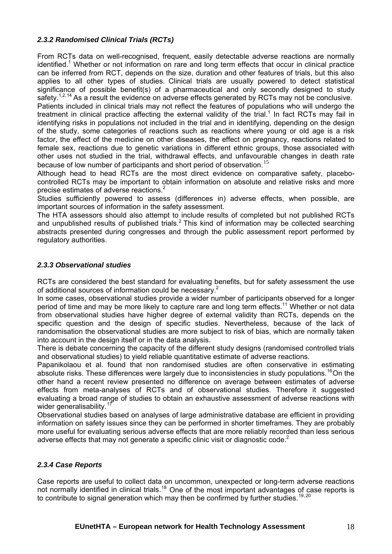# *2.3.2 Randomised Clinical Trials (RCTs)*

From RCTs data on well-recognised, frequent, easily detectable adverse reactions are normally identified.<sup>1</sup> Whether or not information on rare and long term effects that occur in clinical practice can be inferred from RCT, depends on the size, duration and other features of trials, but this also applies to all other types of studies. Clinical trials are usually powered to detect statistical significance of possible benefit(s) of a pharmaceutical and only secondly designed to study safety.<sup>1,2,[14](#page-34-13)</sup> As a result the evidence on adverse effects generated by RCTs may not be conclusive.

Patients included in clinical trials may not reflect the features of populations who will undergo the treatment in clinical practice affecting the external validity of the trial.<sup>1</sup> In fact RCTs may fail in identifying risks in populations not included in the trial and in identifying, depending on the design of the study, some categories of reactions such as reactions where young or old age is a risk factor, the effect of the medicine on other diseases, the effect on pregnancy, reactions related to female sex, reactions due to genetic variations in different ethnic groups, those associated with other uses not studied in the trial, withdrawal effects, and unfavourable changes in death rate because of low number of participants and short period of observation.<sup>[15](#page-34-14)</sup>

Although head to head RCTs are the most direct evidence on comparative safety, placebocontrolled RCTs may be important to obtain information on absolute and relative risks and more precise estimates of adverse reactions. $2$ 

Studies sufficiently powered to assess (differences in) adverse effects, when possible, are important sources of information in the safety assessment.

The HTA assessors should also attempt to include results of completed but not published RCTs and unpublished results of published trials.<sup>2</sup> This kind of information may be collected searching abstracts presented during congresses and through the public assessment report performed by regulatory authorities.

## *2.3.3 Observational studies*

RCTs are considered the best standard for evaluating benefits, but for safety assessment the use of additional sources of information could be necessary. $2$ 

In some cases, observational studies provide a wider number of participants observed for a longer period of time and may be more likely to capture rare and long term effects.<sup>11</sup> Whether or not data from observational studies have higher degree of external validity than RCTs, depends on the specific question and the design of specific studies. Nevertheless, because of the lack of randomisation the observational studies are more subject to risk of bias, which are normally taken into account in the design itself or in the data analysis.

There is debate concerning the capacity of the different study designs (randomised controlled trials and observational studies) to yield reliable quantitative estimate of adverse reactions.

Papanikolaou et al. found that non randomised studies are often conservative in estimating absolute risks. These differences were largely due to inconsistencies in study populations.<sup>[16](#page-34-15)</sup>On the other hand a recent review presented no difference on average between estimates of adverse effects from meta-analyses of RCTs and of observational studies. Therefore it suggested evaluating a broad range of studies to obtain an exhaustive assessment of adverse reactions with wider generalisability.<sup>[17](#page-34-16)</sup>

Observational studies based on analyses of large administrative database are efficient in providing information on safety issues since they can be performed in shorter timeframes. They are probably more useful for evaluating serious adverse effects that are more reliably recorded than less serious adverse effects that may not generate a specific clinic visit or diagnostic code.<sup>2</sup>

## *2.3.4 Case Reports*

Case reports are useful to collect data on uncommon, unexpected or long-term adverse reactions not normally identified in clinical trials.<sup>[18](#page-34-17)</sup> One of the most important advantages of case reports is to contribute to signal generation which may then be confirmed by further studies.<sup>[19](#page-34-18),20</sup>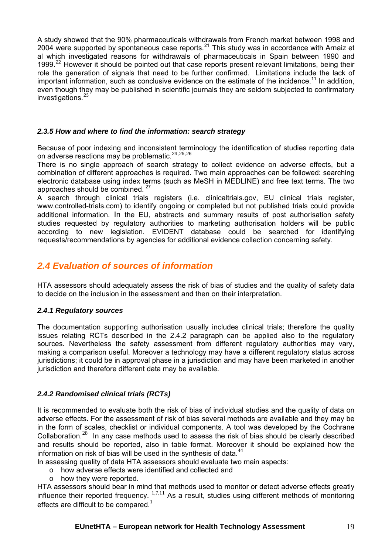A study showed that the 90% pharmaceuticals withdrawals from French market between 1998 and 2004 were supported by spontaneous case reports.<sup>[21](#page-34-19)</sup> This study was in accordance with Arnaiz et al which investigated reasons for withdrawals of pharmaceuticals in Spain between 1990 and 1999.<sup>[22](#page-34-20)</sup> However it should be pointed out that case reports present relevant limitations, being their role the generation of signals that need to be further confirmed. Limitations include the lack of important information, such as conclusive evidence on the estimate of the incidence.<sup>11</sup> In addition, even though they may be published in scientific journals they are seldom subjected to confirmatory investigations.<sup>[23](#page-34-21)</sup>

## *2.3.5 How and where to find the information: search strategy*

Because of poor indexing and inconsistent terminology the identification of studies reporting data on adverse reactions may be problematic.[24](#page-34-22),[25](#page-34-23),[26](#page-34-24) 

There is no single approach of search strategy to collect evidence on adverse effects, but a combination of different approaches is required. Two main approaches can be followed: searching electronic database using index terms (such as MeSH in MEDLINE) and free text terms. The two approaches should be combined. [27](#page-34-25)

A search through clinical trials registers (i.e. clinicaltrials.gov, EU clinical trials register, www.controlled-trials.com) to identify ongoing or completed but not published trials could provide additional information. In the EU, abstracts and summary results of post authorisation safety studies requested by regulatory authorities to marketing authorisation holders will be public according to new legislation. EVIDENT database could be searched for identifying requests/recommendations by agencies for additional evidence collection concerning safety.

# <span id="page-18-0"></span>*2.4 Evaluation of sources of information*

HTA assessors should adequately assess the risk of bias of studies and the quality of safety data to decide on the inclusion in the assessment and then on their interpretation.

## *2.4.1 Regulatory sources*

The documentation supporting authorisation usually includes clinical trials; therefore the quality issues relating RCTs described in the 2.4.2 paragraph can be applied also to the regulatory sources. Nevertheless the safety assessment from different regulatory authorities may vary, making a comparison useful. Moreover a technology may have a different regulatory status across jurisdictions; it could be in approval phase in a jurisdiction and may have been marketed in another jurisdiction and therefore different data may be available.

# *2.4.2 Randomised clinical trials (RCTs)*

It is recommended to evaluate both the risk of bias of individual studies and the quality of data on adverse effects. For the assessment of risk of bias several methods are available and they may be in the form of scales, checklist or individual components. A tool was developed by the Cochrane Collaboration.<sup>[28](#page-34-26)</sup> In any case methods used to assess the risk of bias should be clearly described and results should be reported, also in table format. Moreover it should be explained how the information on risk of bias will be used in the synthesis of data. $44$ 

In assessing quality of data HTA assessors should evaluate two main aspects:

- o how adverse effects were identified and collected and
- o how they were reported.

HTA assessors should bear in mind that methods used to monitor or detect adverse effects greatly influence their reported frequency.  $1,7,11$  As a result, studies using different methods of monitoring effects are difficult to be compared.<sup>1</sup>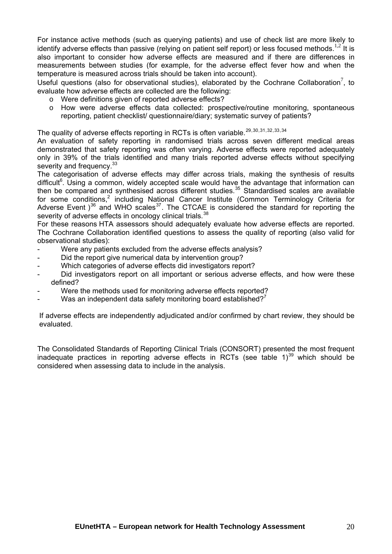For instance active methods (such as querying patients) and use of check list are more likely to identify adverse effects than passive (relying on patient self report) or less focused methods.<sup>1,2</sup> It is also important to consider how adverse effects are measured and if there are differences in measurements between studies (for example, for the adverse effect fever how and when the temperature is measured across trials should be taken into account).

Useful questions (also for observational studies), elaborated by the Cochrane Collaboration<sup>7</sup>, to evaluate how adverse effects are collected are the following:

- o Were definitions given of reported adverse effects?
- o How were adverse effects data collected: prospective/routine monitoring, spontaneous reporting, patient checklist/ questionnaire/diary; systematic survey of patients?

The quality of adverse effects reporting in RCTs is often variable.<sup>[29](#page-34-27),[30](#page-34-28),[31](#page-34-29),[32](#page-34-30),[33](#page-34-31),[34](#page-34-32)</sup>

An evaluation of safety reporting in randomised trials across seven different medical areas demonstrated that safety reporting was often varying. Adverse effects were reported adequately only in 39% of the trials identified and many trials reported adverse effects without specifying severity and frequency.<sup>33</sup>

severity of adverse effects in oncology clinical trials.  $38$ The categorisation of adverse effects may differ across trials, making the synthesis of results difficult<sup>6</sup>. Using a common, widely accepted scale would have the advantage that information can then be compared and synthesised across different studies.<sup>[35](#page-34-17)</sup> Standardised scales are available for some conditions,<sup>2</sup> including National Cancer Institute (Common Terminology Criteria for Adverse Event  $3^{36}$  $3^{36}$  $3^{36}$  and WHO scales<sup>[37](#page-34-33)</sup>. The CTCAE is considered the standard for reporting the

For these reasons HTA assessors should adequately evaluate how adverse effects are reported. The Cochrane Collaboration identified questions to assess the quality of reporting (also valid for observational studies):

- Were any patients excluded from the adverse effects analysis?
- Did the report give numerical data by intervention group?
- Which categories of adverse effects did investigators report?
- Did investigators report on all important or serious adverse effects, and how were these defined?
- Were the methods used for monitoring adverse effects reported?
- Was an independent data safety monitoring board established?<sup>7</sup>

If adverse effects are independently adjudicated and/or confirmed by chart review, they should be evaluated.

The Consolidated Standards of Reporting Clinical Trials (CONSORT) presented the most frequent inadequate practices in reporting adverse effects in RCTs (see table  $1)^{39}$  $1)^{39}$  $1)^{39}$  which should be considered when assessing data to include in the analysis.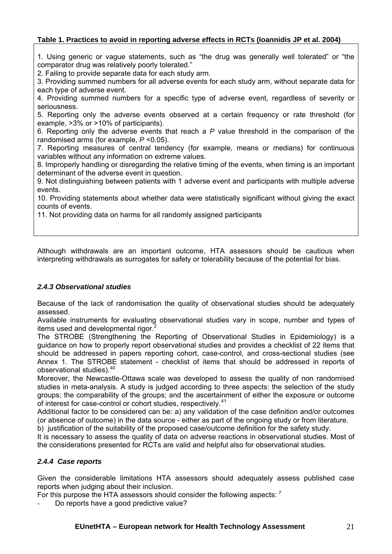# **Table 1. Practices to avoid in reporting adverse effects in RCTs (Ioannidis JP et al. 2004)**

1. Using generic or vague statements, such as "the drug was generally well tolerated" or "the comparator drug was relatively poorly tolerated."

2. Failing to provide separate data for each study arm.

3. Providing summed numbers for all adverse events for each study arm, without separate data for each type of adverse event.

4. Providing summed numbers for a specific type of adverse event, regardless of severity or seriousness.

5. Reporting only the adverse events observed at a certain frequency or rate threshold (for example, >3% or >10% of participants).

6. Reporting only the adverse events that reach a *P* value threshold in the comparison of the randomised arms (for example, *P* <0.05).

7. Reporting measures of central tendency (for example, means or medians) for continuous variables without any information on extreme values.

8. Improperly handling or disregarding the relative timing of the events, when timing is an important determinant of the adverse event in question.

9. Not distinguishing between patients with 1 adverse event and participants with multiple adverse events.

10. Providing statements about whether data were statistically significant without giving the exact counts of events.

11. Not providing data on harms for all randomly assigned participants

Although withdrawals are an important outcome, HTA assessors should be cautious when interpreting withdrawals as surrogates for safety or tolerability because of the potential for bias.

## *2.4.3 Observational studies*

Because of the lack of randomisation the quality of observational studies should be adequately assessed.

Available instruments for evaluating observational studies vary in scope, number and types of items used and developmental rigor. $\dot{2}$ 

The STROBE (Strengthening the Reporting of Observational Studies in Epidemiology) is a guidance on how to properly report observational studies and provides a checklist of 22 items that should be addressed in papers reporting cohort, case-control, and cross-sectional studies (see Annex 1. The STROBE statement - checklist of items that should be addressed in reports of observational studies).<sup>[40](#page-34-35)</sup>

Moreover, the Newcastle-Ottawa scale was developed to assess the quality of non randomised studies in meta-analysis. A study is judged according to three aspects: the selection of the study groups; the comparability of the groups; and the ascertainment of either the exposure or outcome of interest for case-control or cohort studies, respectively.<sup>[41](#page-34-23)</sup>

Additional factor to be considered can be: a) any validation of the case definition and/or outcomes (or absence of outcome) in the data source - either as part of the ongoing study or from literature.

b) justification of the suitability of the proposed case/outcome definition for the safety study.

It is necessary to assess the quality of data on adverse reactions in observational studies. Most of the considerations presented for RCTs are valid and helpful also for observational studies.

## <span id="page-20-0"></span>*2.4.4 Case reports*

Given the considerable limitations HTA assessors should adequately assess published case reports when judging about their inclusion.

For this purpose the HTA assessors should consider the following aspects: <sup>7</sup>

Do reports have a good predictive value?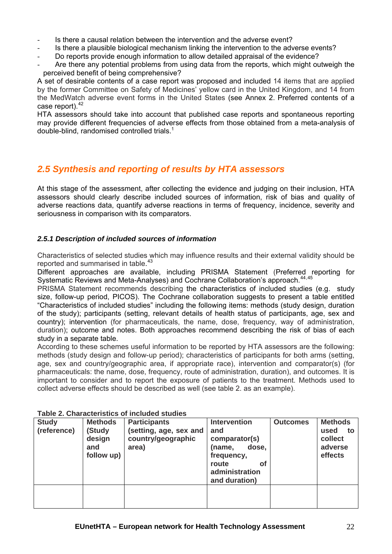- Is there a causal relation between the intervention and the adverse event?
- Is there a plausible biological mechanism linking the intervention to the adverse events?
- Do reports provide enough information to allow detailed appraisal of the evidence?
- Are there any potential problems from using data from the reports, which might outweigh the perceived benefit of being comprehensive?

A set of desirable contents of a case report was proposed and included 14 items that are applied by the former Committee on Safety of Medicines' yellow card in the United Kingdom, and 14 from the MedWatch adverse event forms in the United States (see Annex 2. Preferred contents of a case report).<sup>[42](#page-34-10)</sup>

HTA assessors should take into account that published case reports and spontaneous reporting may provide different frequencies of adverse effects from those obtained from a meta-analysis of double-blind, randomised controlled trials.1

# <span id="page-21-0"></span>*2.5 Synthesis and reporting of results by HTA assessors*

At this stage of the assessment, after collecting the evidence and judging on their inclusion, HTA assessors should clearly describe included sources of information, risk of bias and quality of adverse reactions data, quantify adverse reactions in terms of frequency, incidence, severity and seriousness in comparison with its comparators.

# *2.5.1 Description of included sources of information*

Characteristics of selected studies which may influence results and their external validity should be reported and summarised in table.<sup>[43](#page-34-36)</sup>

Different approaches are available, including PRISMA Statement (Preferred reporting for Systematic Reviews and Meta-Analyses) and Cochrane Collaboration's approach.<sup>[44](#page-34-37),[45](#page-34-38)</sup>

PRISMA Statement recommends describing the characteristics of included studies (e.g. study size, follow-up period, PICOS). The Cochrane collaboration suggests to present a table entitled "Characteristics of included studies" including the following items: methods (study design, duration of the study); participants (setting, relevant details of health status of participants, age, sex and country); intervention (for pharmaceuticals, the name, dose, frequency, way of administration, duration); outcome and notes. Both approaches recommend describing the risk of bias of each study in a separate table.

According to these schemes useful information to be reported by HTA assessors are the following: methods (study design and follow-up period); characteristics of participants for both arms (setting, age, sex and country/geographic area, if appropriate race), intervention and comparator(s) (for pharmaceuticals: the name, dose, frequency, route of administration, duration), and outcomes. It is important to consider and to report the exposure of patients to the treatment. Methods used to collect adverse effects should be described as well (see table 2. as an example).

| <b>Study</b> | <b>Methods</b>                        | <b>Participants</b>                                   | <b>Intervention</b>                                                                    | <b>Outcomes</b> | <b>Methods</b>                              |  |  |
|--------------|---------------------------------------|-------------------------------------------------------|----------------------------------------------------------------------------------------|-----------------|---------------------------------------------|--|--|
| (reference)  | (Study<br>design<br>and<br>follow up) | (setting, age, sex and<br>country/geographic<br>area) | and<br>comparator(s)<br>(name,<br>dose,<br>frequency,<br>route<br>Οf<br>administration |                 | used<br>to<br>collect<br>adverse<br>effects |  |  |
|              |                                       |                                                       | and duration)                                                                          |                 |                                             |  |  |
|              |                                       |                                                       |                                                                                        |                 |                                             |  |  |

## **Table 2. Characteristics of included studies**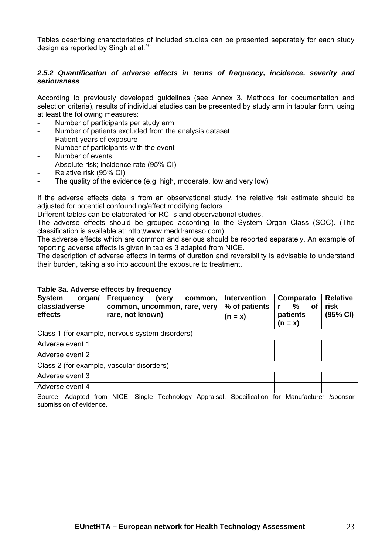Tables describing characteristics of included studies can be presented separately for each study design as reported by Singh et al.<sup>[46](#page-34-13)</sup>

## *2***.***5.2 Quantification of adverse effects in terms of frequency, incidence, severity and seriousness*

According to previously developed guidelines (see Annex 3. Methods for documentation and selection criteria), results of individual studies can be presented by study arm in tabular form, using at least the following measures:

- Number of participants per study arm
- Number of patients excluded from the analysis dataset
- Patient-years of exposure
- Number of participants with the event
- Number of events
- Absolute risk; incidence rate (95% CI)
- Relative risk (95% CI)
- The quality of the evidence (e.g. high, moderate, low and very low)

If the adverse effects data is from an observational study, the relative risk estimate should be adjusted for potential confounding/effect modifying factors.

Different tables can be elaborated for RCTs and observational studies.

The adverse effects should be grouped according to the System Organ Class (SOC). (The classification is available at: http://www.meddramsso.com).

The adverse effects which are common and serious should be reported separately. An example of reporting adverse effects is given in tables 3 adapted from NICE.

The description of adverse effects in terms of duration and reversibility is advisable to understand their burden, taking also into account the exposure to treatment.

#### **Table 3a. Adverse effects by frequency**

| <b>System</b><br>organ/<br>class/adverse<br>effects | <b>Frequency</b><br>common,<br>(very<br>common, uncommon, rare, very<br>rare, not known) | <b>Intervention</b><br>% of patients<br>$(n = x)$ | Comparato<br>℅<br><b>of</b><br>patients<br>$(n = x)$ | <b>Relative</b><br>risk<br>(95% CI) |
|-----------------------------------------------------|------------------------------------------------------------------------------------------|---------------------------------------------------|------------------------------------------------------|-------------------------------------|
|                                                     | Class 1 (for example, nervous system disorders)                                          |                                                   |                                                      |                                     |
| Adverse event 1                                     |                                                                                          |                                                   |                                                      |                                     |
| Adverse event 2                                     |                                                                                          |                                                   |                                                      |                                     |
| Class 2 (for example, vascular disorders)           |                                                                                          |                                                   |                                                      |                                     |
| Adverse event 3                                     |                                                                                          |                                                   |                                                      |                                     |
| Adverse event 4                                     |                                                                                          |                                                   |                                                      |                                     |

Source: Adapted from NICE. Single Technology Appraisal. Specification for Manufacturer /sponsor submission of evidence.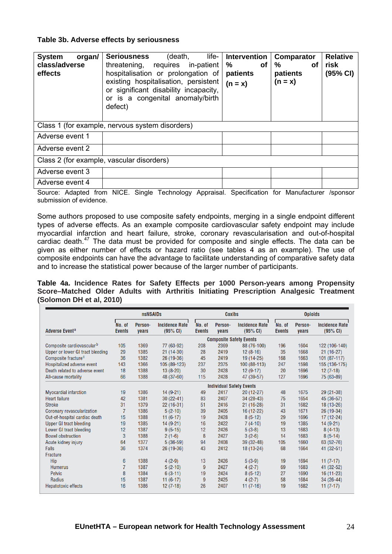## **Table 3b. Adverse effects by seriousness**

| <b>System</b><br>organ/<br>class/adverse<br>effects | life-<br>(death,<br><b>Seriousness</b><br>threatening, requires in-patient<br>hospitalisation or prolongation of<br>existing hospitalisation, persistent<br>or significant disability incapacity,<br>or is a congenital anomaly/birth<br>defect) | <b>Intervention</b><br>℅<br>οf<br>patients<br>$(n = x)$ | <b>Comparator</b><br>℅<br>οf<br>patients<br>$(n = x)$ | <b>Relative</b><br>risk<br>(95% CI) |  |  |
|-----------------------------------------------------|--------------------------------------------------------------------------------------------------------------------------------------------------------------------------------------------------------------------------------------------------|---------------------------------------------------------|-------------------------------------------------------|-------------------------------------|--|--|
|                                                     | Class 1 (for example, nervous system disorders)                                                                                                                                                                                                  |                                                         |                                                       |                                     |  |  |
| Adverse event 1                                     |                                                                                                                                                                                                                                                  |                                                         |                                                       |                                     |  |  |
| Adverse event 2                                     |                                                                                                                                                                                                                                                  |                                                         |                                                       |                                     |  |  |
| Class 2 (for example, vascular disorders)           |                                                                                                                                                                                                                                                  |                                                         |                                                       |                                     |  |  |
| Adverse event 3                                     |                                                                                                                                                                                                                                                  |                                                         |                                                       |                                     |  |  |
| Adverse event 4                                     | $\cdots$ $\sim$ $\cdots$<br>$ -$                                                                                                                                                                                                                 | $\sim$                                                  |                                                       |                                     |  |  |

Source: Adapted from NICE. Single Technology Appraisal. Specification for Manufacturer /sponsor submission of evidence.

Some authors proposed to use composite safety endpoints, merging in a single endpoint different types of adverse effects. As an example composite cardiovascular safety endpoint may include myocardial infarction and heart failure, stroke, coronary revascularisation and out-of-hospital cardiac death.<sup>[47](#page-34-14)</sup> The data must be provided for composite and single effects. The data can be given as either number of effects or hazard ratio (see tables 4 as an example). The use of composite endpoints can have the advantage to facilitate understanding of comparative safety data and to increase the statistical power because of the larger number of participants.

**Table 4a. Incidence Rates for Safety Effects per 1000 Person-years among Propensity Score–Matched Older Adults with Arthritis Initiating Prescription Analgesic Treatment (Solomon DH et al, 2010)** 

|                                       |                         | <b>nsNSAIDs</b>  |                                   |                         | <b>Coxibs</b>    |                                   |                         | <b>Opioids</b>   |                            |
|---------------------------------------|-------------------------|------------------|-----------------------------------|-------------------------|------------------|-----------------------------------|-------------------------|------------------|----------------------------|
| <b>Adverse Eventa</b>                 | No. of<br><b>Events</b> | Person-<br>years | <b>Incidence Rate</b><br>(95% CI) | No. of<br><b>Events</b> | Person-<br>years | <b>Incidence Rate</b><br>(95% CI) | No. of<br><b>Events</b> | Person-<br>years | Incidence Rate<br>(95% CI) |
|                                       |                         |                  |                                   |                         |                  | <b>Composite Safety Events</b>    |                         |                  |                            |
| Composite cardiovascular <sup>b</sup> | 105                     | 1369             | 77 (63-92)                        | 208                     | 2369             | 88 (76-100)                       | 196                     | 1604             | 122 (106-140)              |
| Upper or lower GI tract bleeding      | 29                      | 1385             | $21(14-30)$                       | 28                      | 2419             | $12(8-16)$                        | 35                      | 1668             | $21(16-27)$                |
| Composite fracture <sup>c</sup>       | 36                      | 1382             | $26(19-36)$                       | 45                      | 2419             | 19 (14-25)                        | 168                     | 1663             | $101(87-117)$              |
| Hospitalized adverse event            | 143                     | 1366             | 105 (89-123)                      | 237                     | 2375             | 100 (88-113)                      | 247                     | 1598             | 155 (136-175)              |
| Death related to adverse event        | 18                      | 1388             | $13(8-20)$                        | 30                      | 2428             | $12(9-17)$                        | 20                      | 1696             | $12(7-18)$                 |
| All-cause mortality                   | 66                      | 1388             | 48 (37-60)                        | 115                     | 2428             | 47 (39-57)                        | 127                     | 1696             | 75 (63-89)                 |
|                                       |                         |                  |                                   |                         |                  | <b>Individual Safety Events</b>   |                         |                  |                            |
| <b>Myocardial infarction</b>          | 19                      | 1386             | $14(9-21)$                        | 49                      | 2417             | $20(12-27)$                       | 48                      | 1675             | $29(21-38)$                |
| <b>Heart failure</b>                  | 42                      | 1381             | $30(22-41)$                       | 83                      | 2407             | 34 (28-43)                        | 75                      | 1654             | 45 (36-57)                 |
| <b>Stroke</b>                         | 31                      | 1379             | $22(16-31)$                       | 51                      | 2416             | $21(16-28)$                       | 31                      | 1682             | 18 (13-26)                 |
| Coronary revascularization            | $\overline{7}$          | 1386             | $5(2-10)$                         | 39                      | 2405             | 16 (12-22)                        | 43                      | 1671             | 26 (19-34)                 |
| Out-of-hospital cardiac death         | 15                      | 1388             | $11(6-17)$                        | 19                      | 2428             | $8(5-12)$                         | 29                      | 1696             | $17(12-24)$                |
| <b>Upper GI tract bleeding</b>        | 19                      | 1385             | $14(9-21)$                        | 16                      | 2422             | $7(4-10)$                         | 19                      | 1385             | $14(9-21)$                 |
| Lower GI tract bleeding               | 12                      | 1387             | $9(5-15)$                         | 12                      | 2426             | $5(3-8)$                          | 13                      | 1683             | $8(4-13)$                  |
| <b>Bowel obstruction</b>              | 3                       | 1388             | $2(1-6)$                          | 8                       | 2427             | $3(2-6)$                          | 14                      | 1683             | $8(5-14)$                  |
| Acute kidney injury                   | 64                      | 1377             | $5(36-59)$                        | 94                      | 2408             | 39 (32-48)                        | 105                     | 1660             | 63 (52-76)                 |
| <b>Falls</b>                          | 36                      | 1374             | 26 (19-36)                        | 43                      | 2412             | 18 (13-24)                        | 68                      | 1664             | 41 (32-51)                 |
| <b>Fracture</b>                       |                         |                  |                                   |                         |                  |                                   |                         |                  |                            |
| <b>Hip</b>                            | 6                       | 1388             | $4(2-9)$                          | 13                      | 2426             | $5(3-9)$                          | 19                      | 1694             | $11(7-17)$                 |
| <b>Humerus</b>                        | $\overline{7}$          | 1387             | $5(2-10)$                         | 9                       | 2427             | $4(2-7)$                          | 69                      | 1683             | 41 (32-52)                 |
| <b>Pelvic</b>                         | 8                       | 1384             | $6(3-11)$                         | 19                      | 2424             | $8(5-12)$                         | 27                      | 1690             | $16(11-23)$                |
| <b>Radius</b>                         | 15                      | 1387             | $11(6-17)$                        | 9                       | 2425             | $4(2-7)$                          | 58                      | 1684             | $34(26-44)$                |
| <b>Hepatotoxic effects</b>            | 16                      | 1386             | $12(7-18)$                        | 26                      | 2407             | $11(7-16)$                        | 19                      | 1682             | $11(7-17)$                 |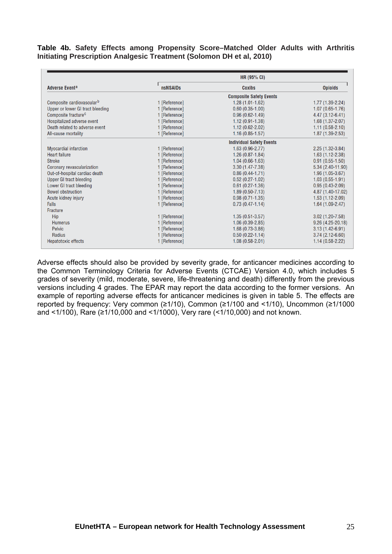### **Table 4b. Safety Effects among Propensity Score–Matched Older Adults with Arthritis Initiating Prescription Analgesic Treatment (Solomon DH et al, 2010)**

|                                       |                 | <b>HR (95% CI)</b>              |                     |
|---------------------------------------|-----------------|---------------------------------|---------------------|
| <b>Adverse Eventa</b>                 | <b>nsNSAIDs</b> | <b>Coxibs</b>                   | <b>Opioids</b>      |
|                                       |                 | <b>Composite Safety Events</b>  |                     |
| Composite cardiovascular <sup>b</sup> | 1 [Reference]   | $1.28(1.01-1.62)$               | $1.77(1.39-2.24)$   |
| Upper or lower GI tract bleeding      | 1 [Reference]   | $0.60(0.35-1.00)$               | $1.07(0.65 - 1.76)$ |
| Composite fracture <sup>c</sup>       | 1 [Reference]   | $0.96(0.62 - 1.49)$             | $4.47(3.12-6.41)$   |
| Hospitalized adverse event            | 1 [Reference]   | $1.12(0.91 - 1.38)$             | $1.68(1.37 - 2.07)$ |
| Death related to adverse event        | 1 [Reference]   | $1.12(0.62 - 2.02)$             | $1.11(0.58-2.10)$   |
| All-cause mortality                   | 1 [Reference]   | $1.16(0.85 - 1.57)$             | $1.87(1.39-2.53)$   |
|                                       |                 | <b>Individual Safety Events</b> |                     |
| <b>Myocardial infarction</b>          | 1 [Reference]   | $1.63(0.96 - 2.77)$             | $2.25(1.32-3.84)$   |
| <b>Heart failure</b>                  | 1 [Reference]   | $1.26(0.87 - 1.84)$             | $1.63(1.12 - 2.38)$ |
| <b>Stroke</b>                         | 1 [Reference]   | $1.04(0.66-1.63)$               | $0.91(0.55-1.50)$   |
| Coronary revascularization            | 1 [Reference]   | $3.30(1.47 - 7.38)$             | 5.34 (2.40-11.90)   |
| Out-of-hospital cardiac death         | 1 [Reference]   | $0.86(0.44 - 1.71)$             | $1.96(1.05-3.67)$   |
| <b>Upper GI tract bleeding</b>        | 1 [Reference]   | $0.52(0.27 - 1.02)$             | $1.03(0.55-1.91)$   |
| Lower GI tract bleeding               | 1 [Reference]   | $0.61(0.27-1.36)$               | $0.95(0.43 - 2.09)$ |
| <b>Bowel obstruction</b>              | 1 [Reference]   | $1.89(0.50 - 7.13)$             | 4.87 (1.40-17.02)   |
| Acute kidney injury                   | 1 [Reference]   | $0.98(0.71 - 1.35)$             | $1.53(1.12-2.09)$   |
| <b>Falls</b>                          | 1 [Reference]   | $0.73(0.47 - 1.14)$             | $1.64(1.09-2.47)$   |
| Fracture                              |                 |                                 |                     |
| Hip                                   | 1 [Reference]   | $1.35(0.51 - 3.57)$             | $3.02(1.20 - 7.58)$ |
| <b>Humerus</b>                        | 1 [Reference]   | $1.06(0.39-2.85)$               | $9.26(4.25-20.18)$  |
| <b>Pelvic</b>                         | 1 [Reference]   | $1.68(0.73-3.86)$               | $3.13(1.42 - 6.91)$ |
| <b>Radius</b>                         | 1 [Reference]   | $0.50(0.22 - 1.14)$             | $3.74(2.12-6.60)$   |
| <b>Hepatotoxic effects</b>            | 1 [Reference]   | $1.08(0.58 - 2.01)$             | $1.14(0.58-2.22)$   |

Adverse effects should also be provided by severity grade, for anticancer medicines according to the Common Terminology Criteria for Adverse Events (CTCAE) Version 4.0, which includes 5 grades of severity (mild, moderate, severe, life-threatening and death) differently from the previous versions including 4 grades. The EPAR may report the data according to the former versions. An example of reporting adverse effects for anticancer medicines is given in table 5. The effects are reported by frequency: Very common (≥1/10), Common (≥1/100 and <1/10), Uncommon (≥1/1000 and <1/100), Rare (≥1/10,000 and <1/1000), Very rare (<1/10,000) and not known.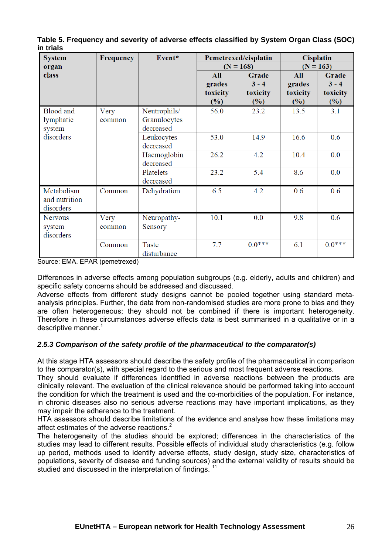| <b>System</b><br>organ                   | <b>Frequency</b> | Event*<br>Pemetrexed/cisplatin<br><b>Cisplatin</b><br>$(N = 163)$<br>$(N = 168)$ |                                  |                                     |                                  |                                        |
|------------------------------------------|------------------|----------------------------------------------------------------------------------|----------------------------------|-------------------------------------|----------------------------------|----------------------------------------|
| class                                    |                  |                                                                                  | All<br>grades<br>toxicity<br>(%) | Grade<br>$3 - 4$<br>toxicity<br>(%) | All<br>grades<br>toxicity<br>(%) | Grade<br>$3 - 4$<br>toxicity<br>$(\%)$ |
| <b>Blood</b> and<br>lymphatic<br>system  | Very<br>common   | Neutrophils/<br>Granulocytes<br>decreased                                        | 56.0                             | 23.2                                | 13.5                             | 3.1                                    |
| disorders                                |                  | Leukocytes<br>decreased                                                          | 53.0                             | 14.9                                | 16.6                             | 0.6                                    |
|                                          |                  | Haemoglobin<br>decreased                                                         | 26.2                             | 4.2                                 | 10.4                             | 0.0                                    |
|                                          |                  | Platelets<br>decreased                                                           | 23.2                             | 5.4                                 | 8.6                              | 0.0                                    |
| Metabolism<br>and nutrition<br>disorders | Common           | Dehydration                                                                      | 6.5                              | 4.2                                 | 0.6                              | 0.6                                    |
| <b>Nervous</b><br>system<br>disorders    | Very<br>common   | Neuropathy-<br>Sensory                                                           | 10.1                             | 0.0                                 | 9.8                              | 0.6                                    |
|                                          | Common           | Taste<br>disturbance                                                             | 7.7                              | $0.0***$                            | 6.1                              | $0.0***$                               |

**Table 5. Frequency and severity of adverse effects classified by System Organ Class (SOC) in trials** 

Source: EMA. EPAR (pemetrexed)

Differences in adverse effects among population subgroups (e.g. elderly, adults and children) and specific safety concerns should be addressed and discussed.

Adverse effects from different study designs cannot be pooled together using standard metaanalysis principles. Further, the data from non-randomised studies are more prone to bias and they are often heterogeneous; they should not be combined if there is important heterogeneity. Therefore in these circumstances adverse effects data is best summarised in a qualitative or in a descriptive manner.<sup>1</sup>

# *2***.***5.3 Comparison of the safety profile of the pharmaceutical to the comparator(s)*

At this stage HTA assessors should describe the safety profile of the pharmaceutical in comparison to the comparator(s), with special regard to the serious and most frequent adverse reactions.

They should evaluate if differences identified in adverse reactions between the products are clinically relevant. The evaluation of the clinical relevance should be performed taking into account the condition for which the treatment is used and the co-morbidities of the population. For instance, in chronic diseases also no serious adverse reactions may have important implications, as they may impair the adherence to the treatment.

HTA assessors should describe limitations of the evidence and analyse how these limitations may affect estimates of the adverse reactions.<sup>2</sup>

The heterogeneity of the studies should be explored; differences in the characteristics of the studies may lead to different results. Possible effects of individual study characteristics (e.g. follow up period, methods used to identify adverse effects, study design, study size, characteristics of populations, severity of disease and funding sources) and the external validity of results should be studied and discussed in the interpretation of findings. <sup>11</sup>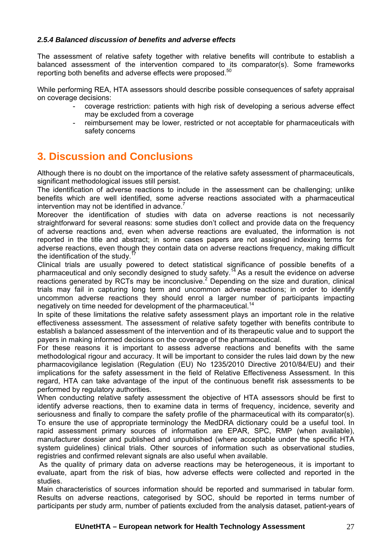## <span id="page-26-0"></span>*2.5.4 Balanced discussion of benefits and adverse effects*

The assessment of relative safety together with relative benefits will contribute to establish a balanced assessment of the intervention compared to its comparator(s). Some frameworks reporting both benefits and adverse effects were proposed.<sup>50</sup>

While performing REA, HTA assessors should describe possible consequences of safety appraisal on coverage decisions:

- coverage restriction: patients with high risk of developing a serious adverse effect may be excluded from a coverage
- reimbursement may be lower, restricted or not acceptable for pharmaceuticals with safety concerns

# <span id="page-26-1"></span>**3. Discussion and Conclusions**

Although there is no doubt on the importance of the relative safety assessment of pharmaceuticals, significant methodological issues still persist.

The identification of adverse reactions to include in the assessment can be challenging; unlike benefits which are well identified, some adverse reactions associated with a pharmaceutical intervention may not be identified in advance. $<sup>7</sup>$ </sup>

Moreover the identification of studies with data on adverse reactions is not necessarily straightforward for several reasons: some studies don't collect and provide data on the frequency of adverse reactions and, even when adverse reactions are evaluated, the information is not reported in the title and abstract; in some cases papers are not assigned indexing terms for adverse reactions, even though they contain data on adverse reactions frequency, making difficult the identification of the study.<sup>1</sup>

Clinical trials are usually powered to detect statistical significance of possible benefits of a pharmaceutical and only secondly designed to study safety.14 As a result the evidence on adverse reactions generated by RCTs may be inconclusive.<sup>2</sup> Depending on the size and duration, clinical trials may fail in capturing long term and uncommon adverse reactions; in order to identify uncommon adverse reactions they should enrol a larger number of participants impacting negatively on time needed for development of the pharmaceutical.<sup>14</sup>

In spite of these limitations the relative safety assessment plays an important role in the relative effectiveness assessment. The assessment of relative safety together with benefits contribute to establish a balanced assessment of the intervention and of its therapeutic value and to support the payers in making informed decisions on the coverage of the pharmaceutical.

For these reasons it is important to assess adverse reactions and benefits with the same methodological rigour and accuracy. It will be important to consider the rules laid down by the new pharmacovigilance legislation ([Regulation \(EU\) No 1235/2010](http://eur-lex.europa.eu/LexUriServ/LexUriServ.do?uri=OJ:L:2010:348:0001:0016:EN:PDF) [Directive 2010/84/EU\)](http://eur-lex.europa.eu/LexUriServ/LexUriServ.do?uri=OJ:L:2010:348:0074:0099:EN:PDF) and their implications for the safety assessment in the field of Relative Effectiveness Assessment. In this regard, HTA can take advantage of the input of the continuous benefit risk assessments to be performed by regulatory authorities.

When conducting relative safety assessment the objective of HTA assessors should be first to identify adverse reactions, then to examine data in terms of frequency, incidence, severity and seriousness and finally to compare the safety profile of the pharmaceutical with its comparator(s). To ensure the use of appropriate terminology the MedDRA dictionary could be a useful tool. In rapid assessment primary sources of information are EPAR, SPC, RMP (when available), manufacturer dossier and published and unpublished (where acceptable under the specific HTA system guidelines) clinical trials. Other sources of information such as observational studies, registries and confirmed relevant signals are also useful when available.

 As the quality of primary data on adverse reactions may be heterogeneous, it is important to evaluate, apart from the risk of bias, how adverse effects were collected and reported in the studies.

Main characteristics of sources information should be reported and summarised in tabular form. Results on adverse reactions, categorised by SOC, should be reported in terms number of participants per study arm, number of patients excluded from the analysis dataset, patient-years of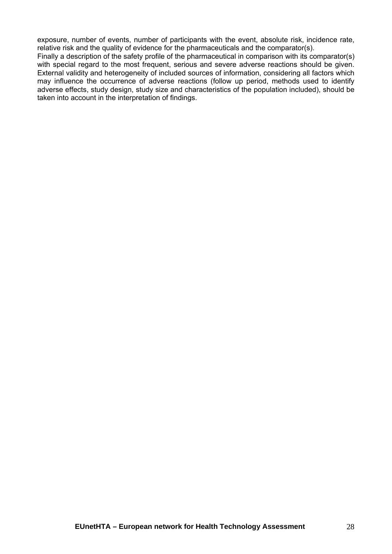exposure, number of events, number of participants with the event, absolute risk, incidence rate, relative risk and the quality of evidence for the pharmaceuticals and the comparator(s).

Finally a description of the safety profile of the pharmaceutical in comparison with its comparator(s) with special regard to the most frequent, serious and severe adverse reactions should be given. External validity and heterogeneity of included sources of information, considering all factors which may influence the occurrence of adverse reactions (follow up period, methods used to identify adverse effects, study design, study size and characteristics of the population included), should be taken into account in the interpretation of findings.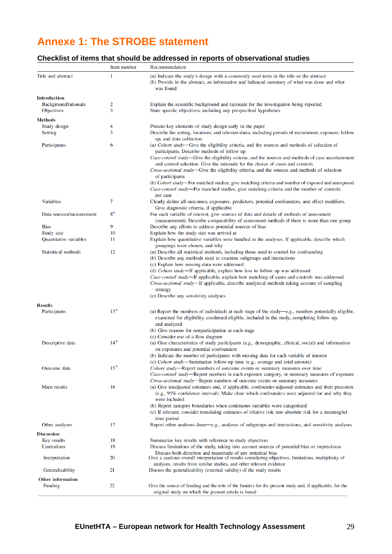# <span id="page-28-0"></span>**Annexe 1: The STROBE statement**

# **Checklist of items that should be addressed in reports of observational studies**

|                                           | Item number | Recommendation                                                                                                                                                                                                                                                                                                    |
|-------------------------------------------|-------------|-------------------------------------------------------------------------------------------------------------------------------------------------------------------------------------------------------------------------------------------------------------------------------------------------------------------|
| Title and abstract                        | 1           | (a) Indicate the study's design with a commonly used term in the title or the abstract<br>(b) Provide in the abstract, an informative and balanced summary of what was done and what<br>was found                                                                                                                 |
| <b>Introduction</b>                       |             |                                                                                                                                                                                                                                                                                                                   |
| Background/rationale<br><b>Objectives</b> | 2<br>3      | Explain the scientific background and rationale for the investigation being reported<br>State specific objectives, including any prespecified hypotheses                                                                                                                                                          |
| <b>Methods</b>                            |             |                                                                                                                                                                                                                                                                                                                   |
| Study design                              | 4           | Present key elements of study design early in the paper                                                                                                                                                                                                                                                           |
| Setting                                   | 5           | Describe the setting, locations, and relevant dates, including periods of recruitment, exposure, follow<br>up, and data collection                                                                                                                                                                                |
| Participants                              | 6           | (a) Cohort study—Give the eligibility criteria, and the sources and methods of selection of<br>participants. Describe methods of follow up                                                                                                                                                                        |
|                                           |             | Case-control study—Give the eligibility criteria, and the sources and methods of case ascertainment<br>and control selection. Give the rationale for the choice of cases and controls<br><i>Cross-sectional study</i> —Give the eligibility criteria, and the sources and methods of selection<br>of participants |
|                                           |             | (b) Cohort study—For matched studies, give matching criteria and number of exposed and unexposed<br>Case-control study—For matched studies, give matching criteria and the number of controls<br>per case                                                                                                         |
| <b>Variables</b>                          | 7           | Clearly define all outcomes, exposures, predictors, potential confounders, and effect modifiers.<br>Give diagnostic criteria, if applicable                                                                                                                                                                       |
| Data sources/measurement                  | $8^*$       | For each variable of interest, give sources of data and details of methods of assessment<br>(measurement). Describe comparability of assessment methods if there is more than one group                                                                                                                           |
| <b>Bias</b>                               | 9           | Describe any efforts to address potential sources of bias                                                                                                                                                                                                                                                         |
| Study size                                | 10          | Explain how the study size was arrived at                                                                                                                                                                                                                                                                         |
| Quantitative variables                    | 11          | Explain how quantitative variables were handled in the analyses. If applicable, describe which<br>groupings were chosen, and why                                                                                                                                                                                  |
| Statistical methods                       | 12          | (a) Describe all statistical methods, including those used to control for confounding<br>(b) Describe any methods used to examine subgroups and interactions                                                                                                                                                      |
|                                           |             | (c) Explain how missing data were addressed<br>(d) Cohort study-If applicable, explain how loss to follow up was addressed                                                                                                                                                                                        |
|                                           |             | Case-control study-If applicable, explain how matching of cases and controls was addressed                                                                                                                                                                                                                        |
|                                           |             | <i>Cross-sectional study</i> —If applicable, describe analytical methods taking account of sampling<br>strategy<br>(e) Describe any sensitivity analyses                                                                                                                                                          |
|                                           |             |                                                                                                                                                                                                                                                                                                                   |
| <b>Results</b><br>Participants            | $13*$       | (a) Report the numbers of individuals at each stage of the study—e.g., numbers potentially eligible,                                                                                                                                                                                                              |
|                                           |             | examined for eligibility, confirmed eligible, included in the study, completing follow up,<br>and analyzed                                                                                                                                                                                                        |
|                                           |             | (b) Give reasons for nonparticipation at each stage                                                                                                                                                                                                                                                               |
| Descriptive data                          | $14*$       | (c) Consider use of a flow diagram<br>(a) Give characteristics of study participants (e.g., demographic, clinical, social) and information                                                                                                                                                                        |
|                                           |             | on exposures and potential confounders<br>(b) Indicate the number of participants with missing data for each variable of interest                                                                                                                                                                                 |
|                                           |             | (c) Cohort study-Summarize follow-up time (e.g., average and total amount)                                                                                                                                                                                                                                        |
| Outcome data                              | $15*$       | Cohort study-Report numbers of outcome events or summary measures over time<br>Case-control study-Report numbers in each exposure category, or summary measures of exposure                                                                                                                                       |
|                                           |             | <i>Cross-sectional study</i> —Report numbers of outcome events or summary measures                                                                                                                                                                                                                                |
| Main results                              | 16          | (a) Give unadjusted estimates and, if applicable, confounder-adjusted estimates and their precision<br>(e.g., 95% confidence interval). Make clear which confounders were adjusted for and why they<br>were included                                                                                              |
|                                           |             | (b) Report category boundaries when continuous variables were categorized<br>(c) If relevant, consider translating estimates of relative risk into absolute risk for a meaningful<br>time period                                                                                                                  |
| Other analyses                            | 17          | Report other analyses done—e.g., analyses of subgroups and interactions, and sensitivity analyses                                                                                                                                                                                                                 |
| <b>Discussion</b>                         |             |                                                                                                                                                                                                                                                                                                                   |
| Key results                               | 18          | Summarize key results with reference to study objectives                                                                                                                                                                                                                                                          |
| Limitations                               | 19          | Discuss limitations of the study, taking into account sources of potential bias or imprecision.                                                                                                                                                                                                                   |
| Interpretation                            | 20          | Discuss both direction and magnitude of any potential bias<br>Give a cautious overall interpretation of results considering objectives, limitations, multiplicity of<br>analyses, results from similar studies, and other relevant evidence                                                                       |
| Generalizability                          | 21          | Discuss the generalizability (external validity) of the study results                                                                                                                                                                                                                                             |
| <b>Other information</b>                  |             |                                                                                                                                                                                                                                                                                                                   |
| Funding                                   | 22          | Give the source of funding and the role of the funders for the present study and, if applicable, for the<br>original study on which the present article is based                                                                                                                                                  |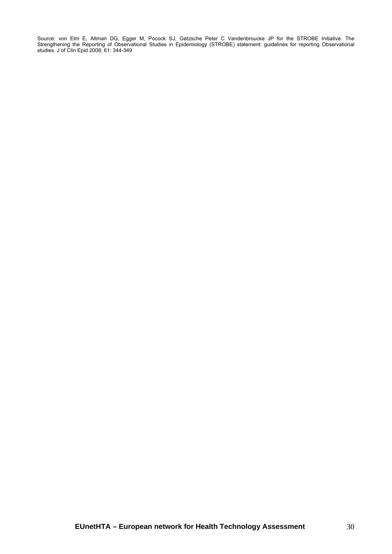Source: von Elm E, Altman DG, Egger M, Pocock SJ, Gøtzsche Peter C Vandenbroucke JP for the STROBE Initiative. The Strengthening the Reporting of Observational Studies in Epidemiology (STROBE) statement: guidelines for reporting Observational studies. J of Clin Epid 2008; 61: 344-349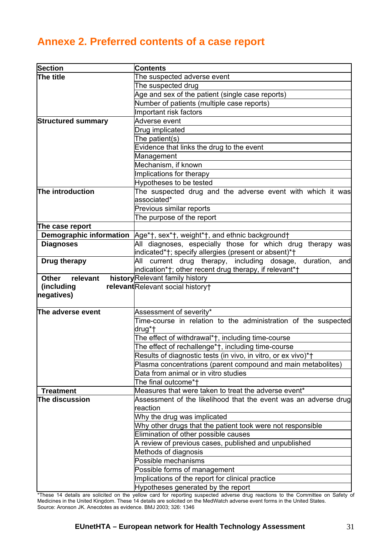# <span id="page-30-0"></span>**Annexe 2. Preferred contents of a case report**

| Section                        | <b>Contents</b>                                                                        |  |  |  |  |  |
|--------------------------------|----------------------------------------------------------------------------------------|--|--|--|--|--|
| The title                      | The suspected adverse event                                                            |  |  |  |  |  |
|                                | The suspected drug                                                                     |  |  |  |  |  |
|                                | Age and sex of the patient (single case reports)                                       |  |  |  |  |  |
|                                | Number of patients (multiple case reports)                                             |  |  |  |  |  |
|                                | Important risk factors                                                                 |  |  |  |  |  |
| <b>Structured summary</b>      | Adverse event                                                                          |  |  |  |  |  |
|                                | Drug implicated                                                                        |  |  |  |  |  |
|                                | The patient(s)                                                                         |  |  |  |  |  |
|                                | Evidence that links the drug to the event                                              |  |  |  |  |  |
|                                | Management                                                                             |  |  |  |  |  |
|                                | Mechanism, if known                                                                    |  |  |  |  |  |
|                                | Implications for therapy                                                               |  |  |  |  |  |
|                                | Hypotheses to be tested                                                                |  |  |  |  |  |
| The introduction               | The suspected drug and the adverse event with which it was                             |  |  |  |  |  |
|                                | associated*                                                                            |  |  |  |  |  |
|                                | Previous similar reports                                                               |  |  |  |  |  |
|                                | The purpose of the report                                                              |  |  |  |  |  |
| The case report                |                                                                                        |  |  |  |  |  |
| <b>Demographic information</b> | Age*†, sex*†, weight*†, and ethnic background†                                         |  |  |  |  |  |
| <b>Diagnoses</b>               | All diagnoses, especially those for which drug therapy was                             |  |  |  |  |  |
|                                | indicated*†; specify allergies (present or absent)*†                                   |  |  |  |  |  |
| Drug therapy                   | current drug therapy, including dosage,<br>duration,<br>All<br>and                     |  |  |  |  |  |
|                                | indication*†; other recent drug therapy, if relevant*†                                 |  |  |  |  |  |
| <b>Other</b><br>relevant       | history Relevant family history                                                        |  |  |  |  |  |
| (including                     | relevant Relevant social history+                                                      |  |  |  |  |  |
| negatives)                     |                                                                                        |  |  |  |  |  |
|                                |                                                                                        |  |  |  |  |  |
|                                |                                                                                        |  |  |  |  |  |
| The adverse event              | Assessment of severity*                                                                |  |  |  |  |  |
|                                | Time-course in relation to the administration of the suspected                         |  |  |  |  |  |
|                                | drug*†                                                                                 |  |  |  |  |  |
|                                | The effect of withdrawal*†, including time-course                                      |  |  |  |  |  |
|                                | The effect of rechallenge*†, including time-course                                     |  |  |  |  |  |
|                                | Results of diagnostic tests (in vivo, in vitro, or ex vivo)*+                          |  |  |  |  |  |
|                                | Plasma concentrations (parent compound and main metabolites)                           |  |  |  |  |  |
|                                | Data from animal or in vitro studies                                                   |  |  |  |  |  |
|                                | The final outcome*†                                                                    |  |  |  |  |  |
| <b>Treatment</b>               | Measures that were taken to treat the adverse event*                                   |  |  |  |  |  |
| The discussion                 |                                                                                        |  |  |  |  |  |
|                                | Assessment of the likelihood that the event was an adverse drug<br>reaction            |  |  |  |  |  |
|                                | Why the drug was implicated                                                            |  |  |  |  |  |
|                                | Why other drugs that the patient took were not responsible                             |  |  |  |  |  |
|                                | Elimination of other possible causes                                                   |  |  |  |  |  |
|                                | A review of previous cases, published and unpublished                                  |  |  |  |  |  |
|                                | Methods of diagnosis                                                                   |  |  |  |  |  |
|                                | Possible mechanisms                                                                    |  |  |  |  |  |
|                                | Possible forms of management                                                           |  |  |  |  |  |
|                                | Implications of the report for clinical practice<br>Hypotheses generated by the report |  |  |  |  |  |

\*These 14 details are solicited on the yellow card for reporting suspected adverse drug reactions to the Committee on Safety of Medicines in the United Kingdom. These 14 details are solicited on the MedWatch adverse event forms in the United States. Source: Aronson JK. Anecdotes as evidence. BMJ 2003; 326: 1346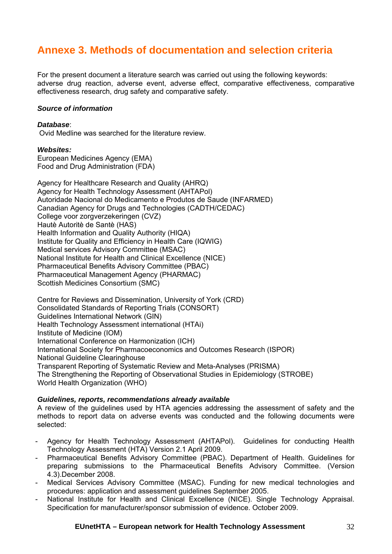# <span id="page-31-0"></span>**Annexe 3. Methods of documentation and selection criteria**

For the present document a literature search was carried out using the following keywords: adverse drug reaction, adverse event, adverse effect, comparative effectiveness, comparative effectiveness research, drug safety and comparative safety.

### *Source of information*

#### *Database*:

Ovid Medline was searched for the literature review.

#### *Websites:*

European Medicines Agency (EMA) Food and Drug Administration (FDA)

Agency for Healthcare Research and Quality (AHRQ) Agency for Health Technology Assessment (AHTAPol) Autoridade Nacional do Medicamento e Produtos de Saude (INFARMED) Canadian Agency for Drugs and Technologies (CADTH/CEDAC) College voor zorgverzekeringen (CVZ) Hautè Autoritè de Santè (HAS) Health Information and Quality Authority (HIQA) Institute for Quality and Efficiency in Health Care (IQWIG) Medical services Advisory Committee (MSAC) National Institute for Health and Clinical Excellence (NICE) Pharmaceutical Benefits Advisory Committee (PBAC) Pharmaceutical Management Agency (PHARMAC) Scottish Medicines Consortium (SMC)

Centre for Reviews and Dissemination, University of York (CRD) Consolidated Standards of Reporting Trials (CONSORT) Guidelines International Network (GIN) Health Technology Assessment international (HTAi) Institute of Medicine (IOM) International Conference on Harmonization (ICH) International Society for Pharmacoeconomics and Outcomes Research (ISPOR) National Guideline Clearinghouse Transparent Reporting of Systematic Review and Meta-Analyses (PRISMA) The Strengthening the Reporting of Observational Studies in Epidemiology (STROBE) World Health Organization (WHO)

## *Guidelines, reports, recommendations already available*

A review of the guidelines used by HTA agencies addressing the assessment of safety and the methods to report data on adverse events was conducted and the following documents were selected:

- Agency for Health Technology Assessment (AHTAPol). Guidelines for conducting Health Technology Assessment (HTA) Version 2.1 April 2009.
- Pharmaceutical Benefits Advisory Committee (PBAC). Department of Health. Guidelines for preparing submissions to the Pharmaceutical Benefits Advisory Committee. (Version 4.3).December 2008.
- Medical Services Advisory Committee (MSAC). Funding for new medical technologies and procedures: application and assessment guidelines September 2005.
- National Institute for Health and Clinical Excellence (NICE). Single Technology Appraisal. Specification for manufacturer/sponsor submission of evidence. October 2009.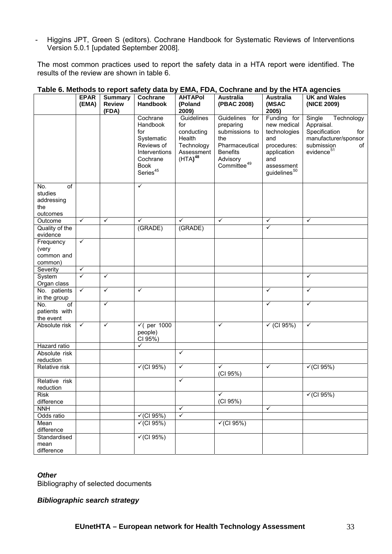- Higgins JPT, Green S (editors). Cochrane Handbook for Systematic Reviews of Interventions Version 5.0.1 [updated September 2008].

The most common practices used to report the safety data in a HTA report were identified. The results of the review are shown in table 6.

|                                                                    | <b>EPAR</b><br>(EMA) | <b>Summary</b><br><b>Review</b> | Cochrane<br>Handbook                                                                                               | <b>AHTAPol</b><br>(Poland                                                                    | <b>Australia</b><br>(PBAC 2008)                                                                                                     | <b>Australia</b><br>(MSAC                                                                                                        | <b>UK and Wales</b><br>(NICE 2009)                                                                                               |
|--------------------------------------------------------------------|----------------------|---------------------------------|--------------------------------------------------------------------------------------------------------------------|----------------------------------------------------------------------------------------------|-------------------------------------------------------------------------------------------------------------------------------------|----------------------------------------------------------------------------------------------------------------------------------|----------------------------------------------------------------------------------------------------------------------------------|
|                                                                    |                      | (FDA)                           |                                                                                                                    | 2009)                                                                                        |                                                                                                                                     | 2005)                                                                                                                            |                                                                                                                                  |
|                                                                    |                      |                                 | Cochrane<br>Handbook<br>for<br>Systematic<br>Reviews of<br>Interventions<br>Cochrane<br><b>Book</b><br>Series $45$ | Guidelines<br>for<br>conducting<br>Health<br>Technology<br>Assessment<br>(HTA) <sup>48</sup> | Guidelines<br>for<br>preparing<br>submissions to<br>the<br>Pharmaceutical<br><b>Benefits</b><br>Advisory<br>Committee <sup>49</sup> | Funding for<br>new medical<br>technologies<br>and<br>procedures:<br>application<br>and<br>assessment<br>guidelines <sup>50</sup> | Single<br>Technology<br>Appraisal.<br>Specification<br>for<br>manufacturer/sponsor<br>submission<br>of<br>evidence <sup>51</sup> |
| $\overline{of}$<br>No.<br>studies<br>addressing<br>the<br>outcomes |                      |                                 | $\checkmark$                                                                                                       |                                                                                              |                                                                                                                                     |                                                                                                                                  |                                                                                                                                  |
| Outcome                                                            | $\checkmark$         | $\checkmark$                    | ✓                                                                                                                  | ✓                                                                                            | ✓                                                                                                                                   | ✓                                                                                                                                | $\checkmark$                                                                                                                     |
| Quality of the<br>evidence                                         |                      |                                 | (GRADE)                                                                                                            | (GRADE)                                                                                      |                                                                                                                                     | $\checkmark$                                                                                                                     |                                                                                                                                  |
| Frequency<br>(very<br>common and<br>common)                        | $\checkmark$         |                                 |                                                                                                                    |                                                                                              |                                                                                                                                     |                                                                                                                                  |                                                                                                                                  |
| Severity                                                           | $\checkmark$         |                                 |                                                                                                                    |                                                                                              |                                                                                                                                     |                                                                                                                                  |                                                                                                                                  |
| System<br>Organ class                                              | $\checkmark$         | $\checkmark$                    |                                                                                                                    |                                                                                              |                                                                                                                                     |                                                                                                                                  | $\checkmark$                                                                                                                     |
| No. patients<br>in the group                                       | $\checkmark$         | $\checkmark$                    | ✓                                                                                                                  |                                                                                              |                                                                                                                                     | ✓                                                                                                                                | $\checkmark$                                                                                                                     |
| No.<br>of<br>patients with<br>the event                            |                      | $\checkmark$                    |                                                                                                                    |                                                                                              |                                                                                                                                     | ✓                                                                                                                                | $\checkmark$                                                                                                                     |
| Absolute risk                                                      | $\checkmark$         | $\checkmark$                    | $\sqrt{$ (per 1000<br>people)<br>CI 95%)                                                                           |                                                                                              | $\checkmark$                                                                                                                        | $\checkmark$ (CI 95%)                                                                                                            | $\checkmark$                                                                                                                     |
| Hazard ratio                                                       |                      |                                 | ✓                                                                                                                  |                                                                                              |                                                                                                                                     |                                                                                                                                  |                                                                                                                                  |
| Absolute risk<br>reduction                                         |                      |                                 |                                                                                                                    | $\checkmark$                                                                                 |                                                                                                                                     |                                                                                                                                  |                                                                                                                                  |
| Relative risk                                                      |                      |                                 | $\sqrt{(C195%)}$                                                                                                   | ✓                                                                                            | $\checkmark$<br>(CI 95%)                                                                                                            | $\checkmark$                                                                                                                     | $\checkmark$ (CI 95%)                                                                                                            |
| Relative risk<br>reduction                                         |                      |                                 |                                                                                                                    | ✓                                                                                            |                                                                                                                                     |                                                                                                                                  |                                                                                                                                  |
| <b>Risk</b><br>difference                                          |                      |                                 |                                                                                                                    |                                                                                              | ✓<br>(CI 95%)                                                                                                                       |                                                                                                                                  | $\sqrt{(C195\%)}$                                                                                                                |
| <b>NNH</b>                                                         |                      |                                 |                                                                                                                    | $\checkmark$                                                                                 |                                                                                                                                     | $\checkmark$                                                                                                                     |                                                                                                                                  |
| Odds ratio                                                         |                      |                                 | $\checkmark$ (CI 95%)                                                                                              | $\checkmark$                                                                                 |                                                                                                                                     |                                                                                                                                  |                                                                                                                                  |
| Mean<br>difference                                                 |                      |                                 | $\sqrt{(C195\%)}$                                                                                                  |                                                                                              | $\sqrt{(C195%)}$                                                                                                                    |                                                                                                                                  |                                                                                                                                  |
| Standardised<br>mean                                               |                      |                                 | $\sqrt{(C195\%)}$                                                                                                  |                                                                                              |                                                                                                                                     |                                                                                                                                  |                                                                                                                                  |
| difference                                                         |                      |                                 |                                                                                                                    |                                                                                              |                                                                                                                                     |                                                                                                                                  |                                                                                                                                  |

#### **Table 6. Methods to report safety data by EMA, FDA, Cochrane and by the HTA agencies**

#### *Other*

Bibliography of selected documents

## *Bibliographic search strategy*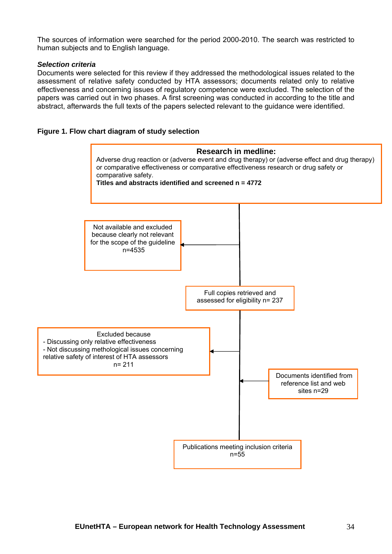The sources of information were searched for the period 2000-2010. The search was restricted to human subjects and to English language.

### *Selection criteria*

Documents were selected for this review if they addressed the methodological issues related to the assessment of relative safety conducted by HTA assessors; documents related only to relative effectiveness and concerning issues of regulatory competence were excluded. The selection of the papers was carried out in two phases. A first screening was conducted in according to the title and abstract, afterwards the full texts of the papers selected relevant to the guidance were identified.

### **Figure 1. Flow chart diagram of study selection**

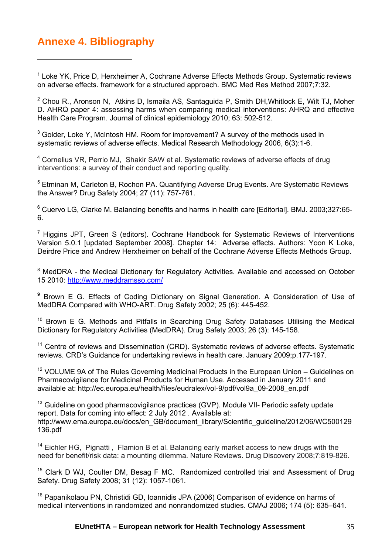# <span id="page-34-0"></span>**Annexe 4. Bibliography**

<span id="page-34-16"></span> $\overline{a}$ 

<span id="page-34-32"></span><span id="page-34-1"></span><sup>1</sup> Loke YK, Price D, Herxheimer A, Cochrane Adverse Effects Methods Group. Systematic reviews on adverse effects. framework for a structured approach. BMC Med Res Method 2007;7:32.

<span id="page-34-18"></span><span id="page-34-17"></span><span id="page-34-2"></span><sup>2</sup> Chou R., Aronson N, Atkins D, Ismaila AS, Santaguida P, Smith DH, Whitlock E, Wilt TJ, Moher D. AHRQ paper 4: assessing harms when comparing medical interventions: AHRQ and effective Health Care Program. Journal of clinical epidemiology 2010; 63: 502-512.

<span id="page-34-39"></span><span id="page-34-3"></span> $3$  Golder, Loke Y, McIntosh HM. Room for improvement? A survey of the methods used in systematic reviews of adverse effects. Medical Research Methodology 2006, 6(3):1-6.

<span id="page-34-33"></span><span id="page-34-19"></span><span id="page-34-4"></span><sup>4</sup> Cornelius VR, Perrio MJ, Shakir SAW et al. Systematic reviews of adverse effects of drug interventions: a survey of their conduct and reporting quality.

<span id="page-34-40"></span><span id="page-34-20"></span><span id="page-34-5"></span><sup>5</sup> Etminan M, Carleton B, Rochon PA. Quantifying Adverse Drug Events. Are Systematic Reviews the Answer? Drug Safety 2004; 27 (11): 757-761.

<span id="page-34-34"></span><span id="page-34-6"></span><sup>6</sup> Cuervo LG, Clarke M. Balancing benefits and harms in health care [Editorial]. BMJ. 2003;327:65-6.

<span id="page-34-35"></span><span id="page-34-22"></span><span id="page-34-21"></span><span id="page-34-7"></span><sup>7</sup> Higgins JPT, Green S (editors). Cochrane Handbook for Systematic Reviews of Interventions Version 5.0.1 [updated September 2008]. Chapter 14: Adverse effects. Authors: Yoon K Loke, Deirdre Price and Andrew Herxheimer on behalf of the Cochrane Adverse Effects Methods Group.

<span id="page-34-23"></span><span id="page-34-8"></span><sup>8</sup> MedDRA - the Medical Dictionary for Regulatory Activities. Available and accessed on October 15 2010: <http://www.meddramsso.com/>

<span id="page-34-24"></span><span id="page-34-9"></span>**<sup>9</sup>** Brown E G. Effects of Coding Dictionary on Signal Generation. A Consideration of Use of MedDRA Compared with WHO-ART. Drug Safety 2002; 25 (6): 445-452.

<span id="page-34-25"></span><span id="page-34-10"></span><sup>10</sup> Brown E G. Methods and Pitfalls in Searching Drug Safety Databases Utilising the Medical Dictionary for Regulatory Activities (MedDRA). Drug Safety 2003; 26 (3): 145-158.

<span id="page-34-36"></span><span id="page-34-26"></span><span id="page-34-11"></span><sup>11</sup> Centre of reviews and Dissemination (CRD). Systematic reviews of adverse effects. Systematic reviews. CRD's Guidance for undertaking reviews in health care. January 2009;p.177-197.

<span id="page-34-37"></span> $12$  VOLUME 9A of The Rules Governing Medicinal Products in the European Union – Guidelines on Pharmacovigilance for Medicinal Products for Human Use. Accessed in January 2011 and available at: http://ec.europa.eu/health/files/eudralex/vol-9/pdf/vol9a\_09-2008\_en.pdf

<span id="page-34-38"></span><span id="page-34-28"></span><span id="page-34-27"></span><span id="page-34-12"></span><sup>13</sup> Guideline on good pharmacovigilance practices (GVP). Module VII- Periodic safety update report. Data for coming into effect: 2 July 2012 . Available at: http://www.ema.europa.eu/docs/en\_GB/document\_library/Scientific\_guideline/2012/06/WC500129 136.pdf

<span id="page-34-29"></span><span id="page-34-13"></span><sup>14</sup> Eichler HG, Pignatti, Flamion B et al. Balancing early market access to new drugs with the need for benefit/risk data: a mounting dilemma. Nature Reviews. Drug Discovery 2008;7:819-826.

<span id="page-34-30"></span><span id="page-34-14"></span><sup>15</sup> Clark D WJ, Coulter DM, Besag F MC. Randomized controlled trial and Assessment of Drug Safety. Drug Safety 2008; 31 (12): 1057-1061.

<span id="page-34-31"></span><span id="page-34-15"></span><sup>16</sup> Papanikolaou PN, Christidi GD, Ioannidis JPA (2006) Comparison of evidence on harms of medical interventions in randomized and nonrandomized studies. CMAJ 2006; 174 (5): 635–641.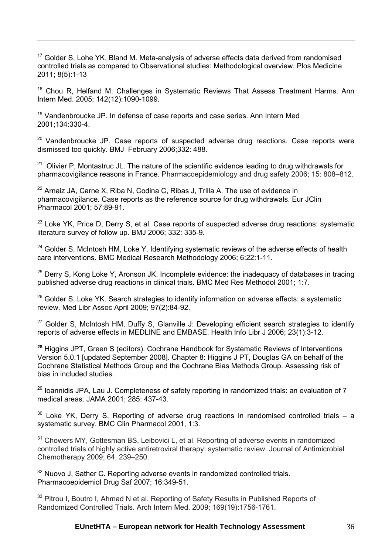<sup>17</sup> Golder S, Lohe YK, Bland M. Meta-analysis of adverse effects data derived from randomised controlled trials as compared to Observational studies: Methodological overview. Plos Medicine 2011; 8(5):1-13

<sup>18</sup> Chou R, Helfand M. Challenges in Systematic Reviews That Assess Treatment Harms. Ann Intern Med. 2005; 142(12):1090-1099.

 $19$  Vandenbroucke JP. In defense of case reports and case series. Ann Intern Med 2001;134:330-4.

 $\overline{a}$ 

 $20$  Vandenbroucke JP. Case reports of suspected adverse drug reactions. Case reports were dismissed too quickly. BMJ February 2006;332: 488.

 $21$  Olivier P, Montastruc JL. The nature of the scientific evidence leading to drug withdrawals for pharmacovigilance reasons in France. Pharmacoepidemiology and drug safety 2006; 15: 808–812.

 $22$  Arnaiz JA, Carne X, Riba N, Codina C, Ribas J, Trilla A. The use of evidence in pharmacovigilance. Case reports as the reference source for drug withdrawals. Eur JClin Pharmacol 2001; 57:89-91.

 $23$  Loke YK, Price D, Derry S, et al. Case reports of suspected adverse drug reactions: systematic literature survey of follow up. BMJ 2006; 332: 335-9.

<sup>24</sup> Golder S, McIntosh HM, Loke Y, Identifying systematic reviews of the adverse effects of health care interventions. BMC Medical Research Methodology 2006; 6:22:1-11.

 $25$  Derry S, Kong Loke Y, Aronson JK. Incomplete evidence: the inadequacy of databases in tracing published adverse drug reactions in clinical trials. BMC Med Res Methodol 2001; 1:7.

<sup>26</sup> Golder S, Loke YK. Search strategies to identify information on adverse effects: a systematic review. Med Libr Assoc April 2009; 97(2):84-92.

 $27$  Golder S, McIntosh HM, Duffy S, Glanville J: Developing efficient search strategies to identify reports of adverse effects in MEDLINE and EMBASE. Health Info Libr J 2006; 23(1):3-12.

**<sup>28</sup>** Higgins JPT, Green S (editors). Cochrane Handbook for Systematic Reviews of Interventions Version 5.0.1 [updated September 2008]. Chapter 8: Higgins J PT, Douglas GA on behalf of the Cochrane Statistical Methods Group and the Cochrane Bias Methods Group. Assessing risk of bias in included studies.

 $29$  Ioannidis JPA, Lau J. Completeness of safety reporting in randomized trials: an evaluation of 7 medical areas. JAMA 2001; 285: 437-43.

 $30$  Loke YK. Derry S. Reporting of adverse drug reactions in randomised controlled trials – a systematic survey. BMC Clin Pharmacol 2001, 1:3.

<sup>31</sup> Chowers MY, Gottesman BS, Leibovici L, et al. Reporting of adverse events in randomized controlled trials of highly active antiretroviral therapy: systematic review. Journal of Antimicrobial Chemotherapy 2009; 64, 239–250.

<sup>32</sup> Nuovo J, Sather C. Reporting adverse events in randomized controlled trials. Pharmacoepidemiol Drug Saf 2007; 16:349-51.

<sup>33</sup> Pitrou I, Boutro I, Ahmad N et al. Reporting of Safety Results in Published Reports of Randomized Controlled Trials. Arch Intern Med. 2009; 169(19):1756-1761.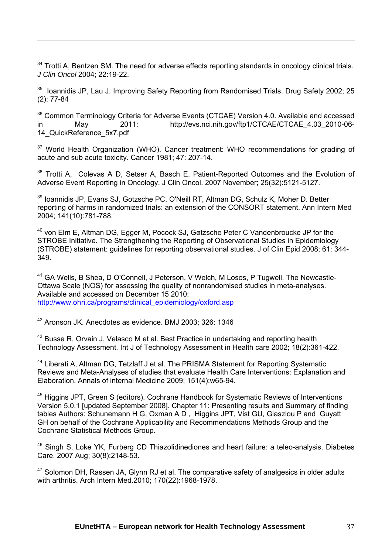$34$  Trotti A, Bentzen SM. The need for adverse effects reporting standards in oncology clinical trials. *J Clin Oncol* 2004; 22:19-22.

<sup>35</sup> Ioannidis JP, Lau J. Improving Safety Reporting from Randomised Trials. Drug Safety 2002; 25 (2): 77-84

<sup>36</sup> Common Terminology Criteria for Adverse Events (CTCAE) Version 4.0. Available and accessed in May 2011: http://evs.nci.nih.gov/ftp1/CTCAE/CTCAE 4.03 2010-06-14\_QuickReference\_5x7.pdf

<sup>37</sup> World Health Organization (WHO). Cancer treatment: WHO recommendations for grading of acute and sub acute toxicity. Cancer 1981; 47: 207-14.

 $38$  Trotti A, Colevas A D, Setser A, Basch E, Patient-Reported Outcomes and the Evolution of Adverse Event Reporting in Oncology. J Clin Oncol. 2007 November; 25(32):5121-5127.

39 Ioannidis JP, Evans SJ, Gotzsche PC, O'Neill RT, Altman DG, Schulz K, Moher D. Better reporting of harms in randomized trials: an extension of the CONSORT statement. Ann Intern Med 2004; 141(10):781-788.

40 von Elm E, Altman DG, Egger M, Pocock SJ, Gøtzsche Peter C Vandenbroucke JP for the STROBE Initiative. The Strengthening the Reporting of Observational Studies in Epidemiology (STROBE) statement: guidelines for reporting observational studies. J of Clin Epid 2008; 61: 344- 349.

<sup>41</sup> GA Wells, B Shea, D O'Connell, J Peterson, V Welch, M Losos, P Tugwell. The Newcastle-Ottawa Scale (NOS) for assessing the quality of nonrandomised studies in meta-analyses. Available and accessed on December 15 2010: [http://www.ohri.ca/programs/clinical\\_epidemiology/oxford.asp](http://www.ohri.ca/programs/clinical_epidemiology/oxford.asp)

42 Aronson JK. Anecdotes as evidence. BMJ 2003; 326: 1346

 $\overline{a}$ 

 $43$  Busse R. Orvain J. Velasco M et al. Best Practice in undertaking and reporting health Technology Assessment. Int J of Technology Assessment in Health care 2002; 18(2):361-422.

<sup>44</sup> Liberati A, Altman DG, Tetzlaff J et al. The PRISMA Statement for Reporting Systematic Reviews and Meta-Analyses of studies that evaluate Health Care Interventions: Explanation and Elaboration. Annals of internal Medicine 2009; 151(4):w65-94.

<sup>45</sup> Higgins JPT, Green S (editors). Cochrane Handbook for Systematic Reviews of Interventions Version 5.0.1 [updated September 2008]. Chapter 11: Presenting results and Summary of finding tables Authors: Schunemann H G, Oxman A D , Higgins JPT, Vist GU, Glasziou P and Guyatt GH on behalf of the Cochrane Applicability and Recommendations Methods Group and the Cochrane Statistical Methods Group.

<sup>46</sup> Singh S, Loke YK, Furberg CD Thiazolidinediones and heart failure: a teleo-analysis. Diabetes Care. 2007 Aug; 30(8):2148-53.

 $47$  Solomon DH, Rassen JA, Glynn RJ et al. The comparative safety of analgesics in older adults with arthritis. Arch Intern Med.2010; 170(22):1968-1978.